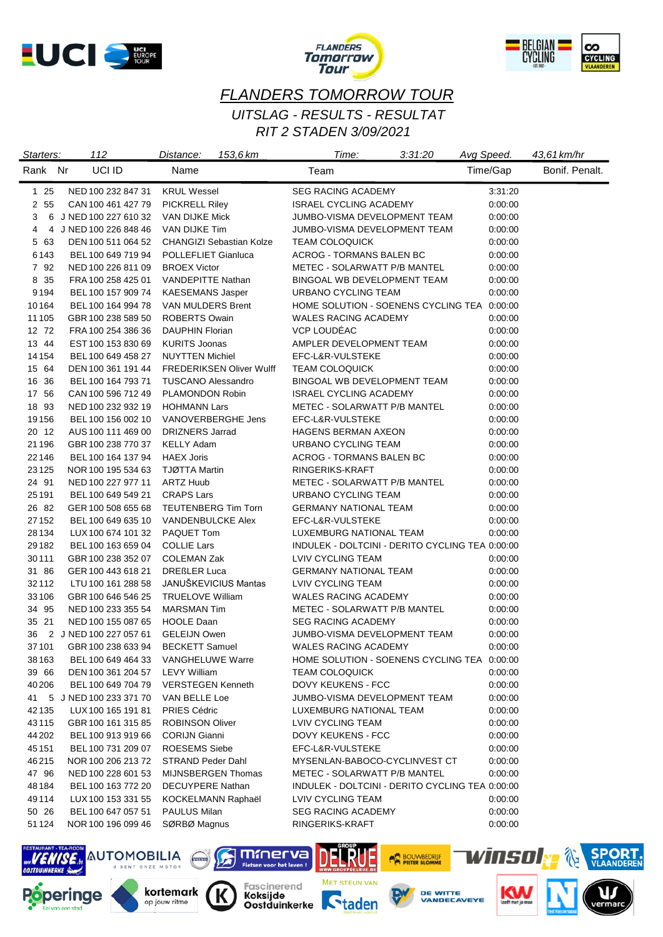





## *FLANDERS TOMORROW TOUR RIT 2 STADEN 3/09/2021 UITSLAG - RESULTS - RESULTAT*

| Starters:        | 112                                      | 153.6 km<br>Distance:                          | Time:<br>3:31:20                                              | Avg Speed. |          | 43,61 km/hr    |
|------------------|------------------------------------------|------------------------------------------------|---------------------------------------------------------------|------------|----------|----------------|
| Rank Nr          | UCI ID                                   | Name                                           | Team                                                          |            | Time/Gap | Bonif. Penalt. |
| $125$            | NED 100 232 847 31                       | <b>KRUL Wessel</b>                             | <b>SEG RACING ACADEMY</b>                                     |            | 3:31:20  |                |
| 2 55             | CAN 100 461 427 79                       | <b>PICKRELL Riley</b>                          | <b>ISRAEL CYCLING ACADEMY</b>                                 |            | 0:00:00  |                |
| 3                | 6 J NED 100 227 610 32                   | VAN DIJKE Mick                                 | JUMBO-VISMA DEVELOPMENT TEAM                                  |            | 0:00:00  |                |
| 4                | 4 J NED 100 226 848 46                   | VAN DIJKE Tim                                  | JUMBO-VISMA DEVELOPMENT TEAM                                  |            | 0:00:00  |                |
| 5 63             | DEN 100 511 064 52                       | <b>CHANGIZI Sebastian Kolze</b>                | <b>TEAM COLOQUICK</b>                                         |            | 0:00:00  |                |
| 6143             | BEL 100 649 719 94                       | POLLEFLIET Gianluca                            | ACROG - TORMANS BALEN BC                                      |            | 0:00:00  |                |
| 7 92             | NED 100 226 811 09                       | <b>BROEX Victor</b>                            | METEC - SOLARWATT P/B MANTEL                                  |            | 0:00:00  |                |
| 8 35             | FRA 100 258 425 01                       | <b>VANDEPITTE Nathan</b>                       | BINGOAL WB DEVELOPMENT TEAM                                   |            | 0:00:00  |                |
| 9194             | BEL 100 157 909 74                       | <b>KAESEMANS Jasper</b>                        | URBANO CYCLING TEAM                                           |            | 0:00:00  |                |
| 10164            | BEL 100 164 994 78                       | VAN MULDERS Brent                              | HOME SOLUTION - SOENENS CYCLING TEA 0:00:00                   |            |          |                |
| 11 105           | GBR 100 238 589 50                       | <b>ROBERTS Owain</b>                           | <b>WALES RACING ACADEMY</b>                                   |            | 0:00:00  |                |
| 12 72            | FRA 100 254 386 36                       | DAUPHIN Florian                                | VCP LOUDÉAC                                                   |            | 0:00:00  |                |
| 13 44            | EST 100 153 830 69                       | <b>KURITS Joonas</b>                           | AMPLER DEVELOPMENT TEAM                                       |            | 0:00:00  |                |
| 14 154           | BEL 100 649 458 27                       | <b>NUYTTEN Michiel</b>                         | EFC-L&R-VULSTEKE                                              |            | 0:00:00  |                |
| 15 64            | DEN 100 361 191 44                       | <b>FREDERIKSEN Oliver Wulff</b>                | <b>TEAM COLOQUICK</b>                                         |            | 0:00:00  |                |
| 16 36            | BEL 100 164 793 71                       | <b>TUSCANO Alessandro</b>                      | BINGOAL WB DEVELOPMENT TEAM                                   |            | 0:00:00  |                |
| 17 56            | CAN 100 596 712 49                       | PLAMONDON Robin                                | <b>ISRAEL CYCLING ACADEMY</b>                                 |            | 0:00:00  |                |
| 18 93            | NED 100 232 932 19                       | <b>HOHMANN Lars</b>                            | METEC - SOLARWATT P/B MANTEL                                  |            | 0:00:00  |                |
| 19156            | BEL 100 156 002 10                       | VANOVERBERGHE Jens                             | EFC-L&R-VULSTEKE                                              |            | 0:00:00  |                |
| 20 12            | AUS 100 111 469 00                       | <b>DRIZNERS Jarrad</b>                         | <b>HAGENS BERMAN AXEON</b>                                    |            | 0:00:00  |                |
| 21196            | GBR 100 238 770 37                       | <b>KELLY Adam</b>                              | URBANO CYCLING TEAM                                           |            | 0:00:00  |                |
| 22146            | BEL 100 164 137 94                       | <b>HAEX Joris</b>                              | ACROG - TORMANS BALEN BC                                      |            | 0:00:00  |                |
| 23125            | NOR 100 195 534 63                       | <b>TJØTTA Martin</b>                           | RINGERIKS-KRAFT                                               |            | 0:00:00  |                |
| 24 91            | NED 100 227 977 11                       | <b>ARTZ Huub</b>                               | METEC - SOLARWATT P/B MANTEL                                  |            | 0:00:00  |                |
| 25191            | BEL 100 649 549 21                       | <b>CRAPS Lars</b>                              | URBANO CYCLING TEAM                                           |            | 0:00:00  |                |
| 26 82            | GER 100 508 655 68                       | <b>TEUTENBERG Tim Torn</b>                     | <b>GERMANY NATIONAL TEAM</b>                                  |            | 0:00:00  |                |
| 27152            | BEL 100 649 635 10                       | <b>VANDENBULCKE Alex</b>                       | EFC-L&R-VULSTEKE                                              |            | 0:00:00  |                |
| 28134            | LUX 100 674 101 32                       | PAQUET Tom                                     | LUXEMBURG NATIONAL TEAM                                       |            | 0:00:00  |                |
| 29182            | BEL 100 163 659 04                       | <b>COLLIE Lars</b>                             | INDULEK - DOLTCINI - DERITO CYCLING TEA 0:00:00               |            |          |                |
| 30111            | GBR 100 238 352 07                       | <b>COLEMAN Zak</b>                             | LVIV CYCLING TEAM                                             |            | 0:00:00  |                |
| 31 86            | GER 100 443 618 21                       | <b>DREßLER Luca</b>                            | <b>GERMANY NATIONAL TEAM</b>                                  |            | 0:00:00  |                |
| 32112            | LTU 100 161 288 58                       | JANUŠKEVICIUS Mantas                           | <b>LVIV CYCLING TEAM</b>                                      |            | 0:00:00  |                |
| 33106            | GBR 100 646 546 25                       | <b>TRUELOVE William</b>                        | <b>WALES RACING ACADEMY</b>                                   |            | 0:00:00  |                |
| 34 95            | NED 100 233 355 54                       | <b>MARSMAN Tim</b>                             | METEC - SOLARWATT P/B MANTEL                                  |            | 0:00:00  |                |
| 35 21            | NED 100 155 087 65                       | <b>HOOLE Daan</b>                              | <b>SEG RACING ACADEMY</b>                                     |            | 0:00:00  |                |
| 36               | 2 J NED 100 227 057 61                   | <b>GELEIJN Owen</b>                            | JUMBO-VISMA DEVELOPMENT TEAM                                  |            | 0:00:00  |                |
|                  | 37 101 GBR 100 238 633 94 BECKETT Samuel |                                                | WALES RACING ACADEMY                                          |            | 0:00:00  |                |
| 38 163           |                                          | BEL 100 649 464 33 VANGHELUWE Warre            | HOME SOLUTION - SOENENS CYCLING TEA 0:00:00                   |            |          |                |
|                  |                                          | <b>LEVY William</b>                            |                                                               |            |          |                |
| 39 66            | DEN 100 361 204 57                       |                                                | <b>TEAM COLOQUICK</b><br>DOVY KEUKENS - FCC                   |            | 0:00:00  |                |
| 40 206           | BEL 100 649 704 79                       | <b>VERSTEGEN Kenneth</b>                       |                                                               |            | 0:00:00  |                |
|                  | 41 5 J NED 100 233 371 70                | VAN BELLE Loe                                  | JUMBO-VISMA DEVELOPMENT TEAM                                  |            | 0:00:00  |                |
| 42135            | LUX 100 165 191 81                       | PRIES Cédric                                   | LUXEMBURG NATIONAL TEAM                                       |            | 0:00:00  |                |
| 43115            | GBR 100 161 315 85<br>BEL 100 913 919 66 | <b>ROBINSON Oliver</b><br><b>CORIJN Gianni</b> | LVIV CYCLING TEAM                                             |            | 0:00:00  |                |
| 44 202           |                                          |                                                | DOVY KEUKENS - FCC                                            |            | 0:00:00  |                |
| 45151            | BEL 100 731 209 07                       | <b>ROESEMS Siebe</b>                           | EFC-L&R-VULSTEKE                                              |            | 0:00:00  |                |
| 46215<br>47 96   | NOR 100 206 213 72<br>NED 100 228 601 53 | STRAND Peder Dahl                              | MYSENLAN-BABOCO-CYCLINVEST CT<br>METEC - SOLARWATT P/B MANTEL |            | 0:00:00  |                |
|                  | BEL 100 163 772 20                       | MIJNSBERGEN Thomas<br><b>DECUYPERE Nathan</b>  | INDULEK - DOLTCINI - DERITO CYCLING TEA 0:00:00               |            | 0:00:00  |                |
| 48184            |                                          |                                                |                                                               |            |          |                |
| 49 1 14<br>50 26 | LUX 100 153 331 55                       | KOCKELMANN Raphaël                             | LVIV CYCLING TEAM                                             |            | 0:00:00  |                |
| 51124            | BEL 100 647 057 51                       | <b>PAULUS Milan</b>                            | <b>SEG RACING ACADEMY</b>                                     |            | 0:00:00  |                |
|                  | NOR 100 196 099 46                       | SØRBØ Magnus                                   | RINGERIKS-KRAFT                                               |            | 0:00:00  |                |

Koksijde<br>Oostduinkerke **Ctaden** 

IJ

mmerva

Fietsen voor het leven!

Fascinerend<br>**Koksijde** 

**Sa** 

K

ELRUE

MET STEUN VAN

**POLYVBEDRUF** 

DE WITTE<br>VANDECAVEYE



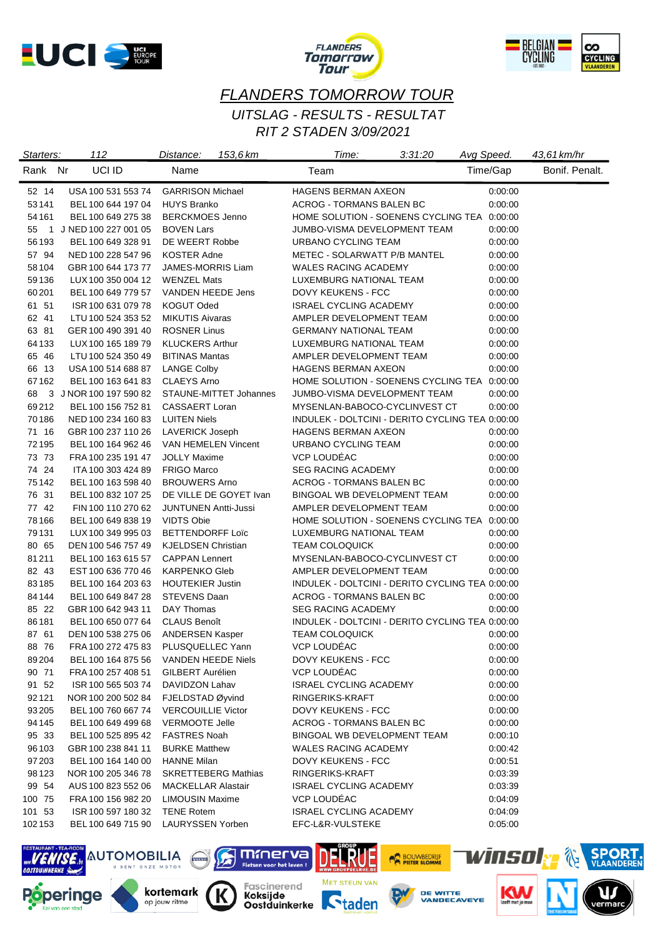





## *FLANDERS TOMORROW TOUR RIT 2 STADEN 3/09/2021 UITSLAG - RESULTS - RESULTAT*

| Starters: | 112                    | 153,6 km<br>Distance:               | Time:                                           | 3:31:20 | Avg Speed. | 43,61 km/hr    |
|-----------|------------------------|-------------------------------------|-------------------------------------------------|---------|------------|----------------|
| Rank Nr   | UCI ID                 | Name                                | Team                                            |         | Time/Gap   | Bonif. Penalt. |
| 52 14     | USA 100 531 553 74     | <b>GARRISON Michael</b>             | <b>HAGENS BERMAN AXEON</b>                      |         | 0:00:00    |                |
| 53141     | BEL 100 644 197 04     | <b>HUYS Branko</b>                  | <b>ACROG - TORMANS BALEN BC</b>                 |         | 0:00:00    |                |
| 54 161    | BEL 100 649 275 38     | <b>BERCKMOES Jenno</b>              | HOME SOLUTION - SOENENS CYCLING TEA 0:00:00     |         |            |                |
| 55        | 1 J NED 100 227 001 05 | <b>BOVEN Lars</b>                   | JUMBO-VISMA DEVELOPMENT TEAM                    |         | 0:00:00    |                |
| 56193     | BEL 100 649 328 91     | DE WEERT Robbe                      | URBANO CYCLING TEAM                             |         | 0.00:00    |                |
| 57 94     | NED 100 228 547 96     | KOSTER Adne                         | METEC - SOLARWATT P/B MANTEL                    |         | 0:00:00    |                |
| 58 104    | GBR 100 644 173 77     | JAMES-MORRIS Liam                   | WALES RACING ACADEMY                            |         | 0:00:00    |                |
| 59136     | LUX 100 350 004 12     | <b>WENZEL Mats</b>                  | <b>LUXEMBURG NATIONAL TEAM</b>                  |         | 0.00:00    |                |
| 60201     | BEL 100 649 779 57     | <b>VANDEN HEEDE Jens</b>            | DOVY KEUKENS - FCC                              |         | 0:00:00    |                |
| 61 51     | ISR 100 631 079 78     | KOGUT Oded                          | <b>ISRAEL CYCLING ACADEMY</b>                   |         | 0:00:00    |                |
| 62 41     | LTU 100 524 353 52     | <b>MIKUTIS Aivaras</b>              | AMPLER DEVELOPMENT TEAM                         |         | 0:00:00    |                |
| 63 81     | GER 100 490 391 40     | <b>ROSNER Linus</b>                 | <b>GERMANY NATIONAL TEAM</b>                    |         | 0:00:00    |                |
| 64133     | LUX 100 165 189 79     | <b>KLUCKERS Arthur</b>              | LUXEMBURG NATIONAL TEAM                         |         | 0:00:00    |                |
| 65 46     | LTU 100 524 350 49     | <b>BITINAS Mantas</b>               | AMPLER DEVELOPMENT TEAM                         |         | 0:00:00    |                |
| 66 13     | USA 100 514 688 87     | <b>LANGE Colby</b>                  | <b>HAGENS BERMAN AXEON</b>                      |         | 0:00:00    |                |
| 67162     | BEL 100 163 641 83     | <b>CLAEYS Arno</b>                  | HOME SOLUTION - SOENENS CYCLING TEA 0:00:00     |         |            |                |
| 68        | 3 J NOR 100 197 590 82 | STAUNE-MITTET Johannes              | JUMBO-VISMA DEVELOPMENT TEAM                    |         | 0:00:00    |                |
| 69212     | BEL 100 156 752 81     | CASSAERT Loran                      | MYSENLAN-BABOCO-CYCLINVEST CT                   |         | 0.00:00    |                |
| 70186     | NED 100 234 160 83     | <b>LUITEN Niels</b>                 | INDULEK - DOLTCINI - DERITO CYCLING TEA 0:00:00 |         |            |                |
| 71 16     | GBR 100 237 110 26     | <b>LAVERICK Joseph</b>              | <b>HAGENS BERMAN AXEON</b>                      |         | 0.00:00    |                |
| 72195     | BEL 100 164 962 46     | VAN HEMELEN Vincent                 | URBANO CYCLING TEAM                             |         | 0:00:00    |                |
| 73 73     | FRA 100 235 191 47     | <b>JOLLY Maxime</b>                 | VCP LOUDÉAC                                     |         | 0:00:00    |                |
| 74 24     | ITA 100 303 424 89     | <b>FRIGO Marco</b>                  | <b>SEG RACING ACADEMY</b>                       |         | 0:00:00    |                |
| 75142     | BEL 100 163 598 40     | <b>BROUWERS Arno</b>                | ACROG - TORMANS BALEN BC                        |         | 0.00:00    |                |
| 76 31     | BEL 100 832 107 25     | DE VILLE DE GOYET Ivan              | BINGOAL WB DEVELOPMENT TEAM                     |         | 0:00:00    |                |
| 77 42     | FIN 100 110 270 62     | <b>JUNTUNEN Antti-Jussi</b>         | AMPLER DEVELOPMENT TEAM                         |         | 0.00:00    |                |
| 78 166    | BEL 100 649 838 19     | VIDTS Obie                          | HOME SOLUTION - SOENENS CYCLING TEA 0:00:00     |         |            |                |
| 79131     | LUX 100 349 995 03     | <b>BETTENDORFF Loïc</b>             | LUXEMBURG NATIONAL TEAM                         |         | 0:00:00    |                |
| 80 65     | DEN 100 546 757 49     | <b>KJELDSEN Christian</b>           | <b>TEAM COLOQUICK</b>                           |         | 0.00:00    |                |
| 81211     | BEL 100 163 615 57     | <b>CAPPAN Lennert</b>               | MYSENLAN-BABOCO-CYCLINVEST CT                   |         | 0:00:00    |                |
| 82 43     | EST 100 636 770 46     | <b>KARPENKO Gleb</b>                | AMPLER DEVELOPMENT TEAM                         |         | 0.00:00    |                |
| 83185     | BEL 100 164 203 63     | <b>HOUTEKIER Justin</b>             | INDULEK - DOLTCINI - DERITO CYCLING TEA 0:00:00 |         |            |                |
| 84 144    | BEL 100 649 847 28     | STEVENS Daan                        | ACROG - TORMANS BALEN BC                        |         | 0:00:00    |                |
| 85 22     | GBR 100 642 943 11     | DAY Thomas                          | <b>SEG RACING ACADEMY</b>                       |         | 0.00:00    |                |
| 86181     | BEL 100 650 077 64     | <b>CLAUS Benoît</b>                 | INDULEK - DOLTCINI - DERITO CYCLING TEA 0:00:00 |         |            |                |
| 87 61     | DEN 100 538 275 06     | <b>ANDERSEN Kasper</b>              | <b>TEAM COLOQUICK</b>                           |         | 0:00:00    |                |
| 88 76     |                        | FRA 100 272 475 83 PLUSQUELLEC Yann | <b>VCP LOUDEAC</b>                              |         | 0:00:00    |                |
| 89204     | BEL 100 164 875 56     | <b>VANDEN HEEDE Niels</b>           | <b>DOVY KEUKENS - FCC</b>                       |         | 0:00:00    |                |
| 90 71     | FRA 100 257 408 51     | GILBERT Aurélien                    | VCP LOUDÉAC                                     |         | 0:00:00    |                |
| 91 52     | ISR 100 565 503 74     | DAVIDZON Lahav                      | <b>ISRAEL CYCLING ACADEMY</b>                   |         | 0:00:00    |                |
| 92121     | NOR 100 200 502 84     | FJELDSTAD Øyvind                    | RINGERIKS-KRAFT                                 |         | 0:00:00    |                |
| 93 205    | BEL 100 760 667 74     | <b>VERCOUILLIE Victor</b>           | DOVY KEUKENS - FCC                              |         | 0:00:00    |                |
| 94145     | BEL 100 649 499 68     | <b>VERMOOTE Jelle</b>               | ACROG - TORMANS BALEN BC                        |         | 0:00:00    |                |
| 95 33     | BEL 100 525 895 42     | <b>FASTRES Noah</b>                 | BINGOAL WB DEVELOPMENT TEAM                     |         | 0:00:10    |                |
| 96103     | GBR 100 238 841 11     | <b>BURKE Matthew</b>                | WALES RACING ACADEMY                            |         | 0:00:42    |                |
| 97 203    | BEL 100 164 140 00     | <b>HANNE Milan</b>                  | DOVY KEUKENS - FCC                              |         | 0:00:51    |                |
| 98123     | NOR 100 205 346 78     | <b>SKRETTEBERG Mathias</b>          | RINGERIKS-KRAFT                                 |         | 0:03:39    |                |
| 99 54     | AUS 100 823 552 06     | <b>MACKELLAR Alastair</b>           | <b>ISRAEL CYCLING ACADEMY</b>                   |         | 0:03:39    |                |
| 100 75    | FRA 100 156 982 20     | <b>LIMOUSIN Maxime</b>              | VCP LOUDÉAC                                     |         | 0:04:09    |                |
| 101 53    | ISR 100 597 180 32     | <b>TENE Rotem</b>                   | <b>ISRAEL CYCLING ACADEMY</b>                   |         | 0:04:09    |                |
| 102153    | BEL 100 649 715 90     | LAURYSSEN Yorben                    | EFC-L&R-VULSTEKE                                |         | 0:05:00    |                |

Koksijde<br>Oostduinkerke **Ctaden** 

IJ

mmerva

Fietsen voor het leven!

Fascinerend<br>**Koksijde** 

ELRUE

MET STEUN VAN

**POLYVBEDRUF** 



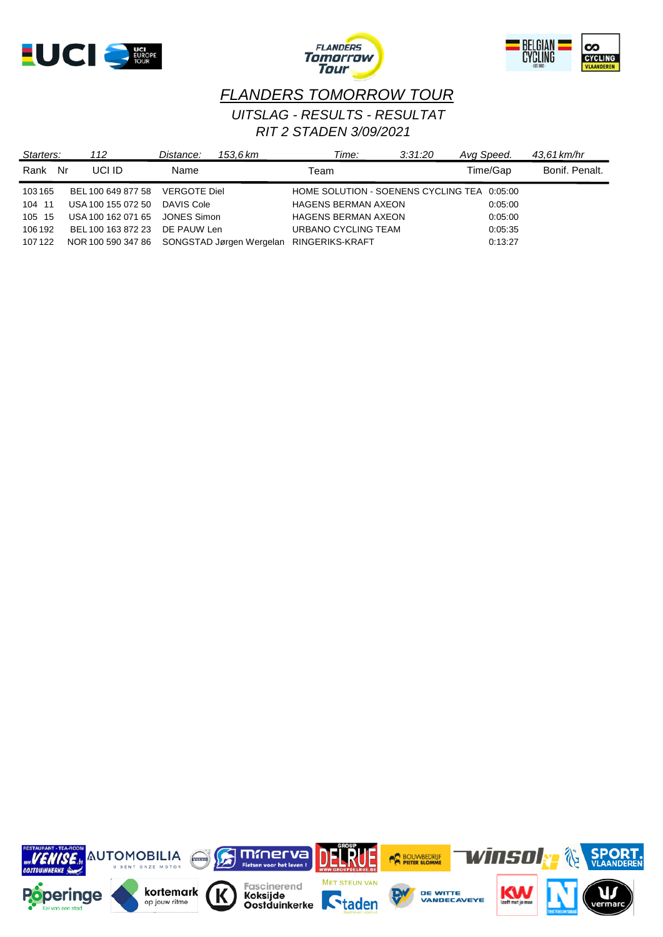





## *FLANDERS TOMORROW TOUR RIT 2 STADEN 3/09/2021 UITSLAG - RESULTS - RESULTAT*

| Starters:  | 112                                         | Distance:           | 153.6 km | Time:                                       | 3:31:20 | Avg Speed. | 43.61 km/hr    |
|------------|---------------------------------------------|---------------------|----------|---------------------------------------------|---------|------------|----------------|
| Rank<br>Nr | UCI ID                                      | Name                |          | Team                                        |         | Time/Gap   | Bonif, Penalt. |
| 103165     | BEL 100 649 877 58                          | <b>VERGOTE Diel</b> |          | HOME SOLUTION - SOENENS CYCLING TEA 0:05:00 |         |            |                |
| 104 11     | USA 100 155 072 50                          | DAVIS Cole          |          | <b>HAGENS BERMAN AXEON</b>                  |         | 0.05:00    |                |
| 105 15     | USA 100 162 071 65                          | JONES Simon         |          | <b>HAGENS BERMAN AXEON</b>                  |         | 0.05:00    |                |
| 106 192    | BEL 100 163 872 23                          | DE PAUW Len         |          | URBANO CYCLING TEAM                         |         | 0:05:35    |                |
| 107122     | NOR 100 590 347 86 SONGSTAD Jørgen Wergelan |                     |          | RINGERIKS-KRAFT                             |         | 0:13:27    |                |

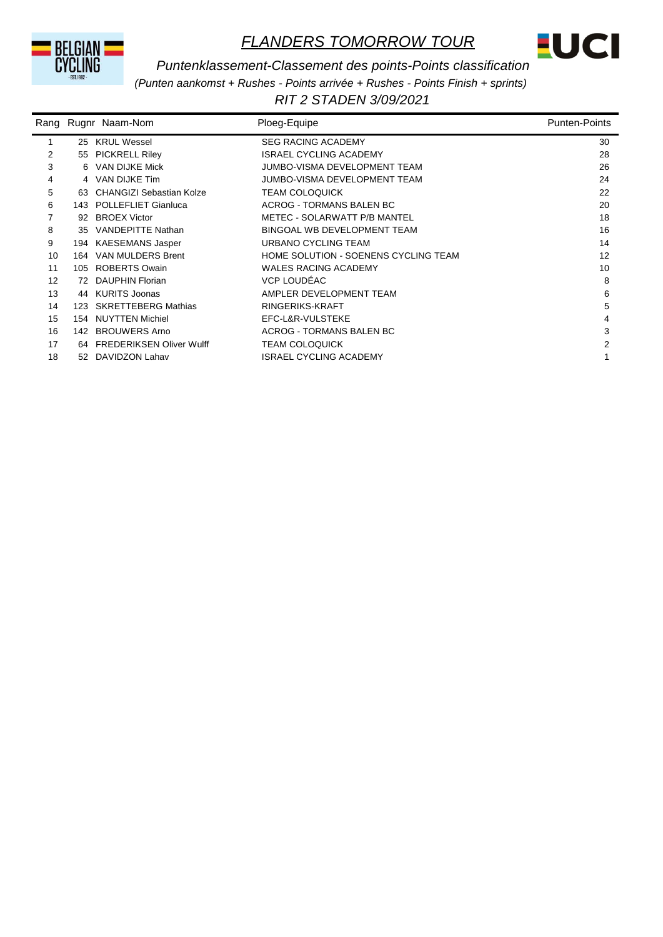



#### *Puntenklassement-Classement des points-Points classification*

*(Punten aankomst + Rushes - Points arrivée + Rushes - Points Finish + sprints)*

*RIT 2 STADEN 3/09/2021* 

|    |     | Rang Rugnr Naam-Nom         | Ploeg-Equipe                         | <b>Punten-Points</b> |
|----|-----|-----------------------------|--------------------------------------|----------------------|
| 1  |     | 25 KRUL Wessel              | <b>SEG RACING ACADEMY</b>            | 30                   |
| 2  |     | 55 PICKRELL Riley           | <b>ISRAEL CYCLING ACADEMY</b>        | 28                   |
| 3  |     | 6 VAN DIJKE Mick            | JUMBO-VISMA DEVELOPMENT TEAM         | 26                   |
| 4  |     | 4 VAN DIJKE Tim             | JUMBO-VISMA DEVELOPMENT TEAM         | 24                   |
| 5  |     | 63 CHANGIZI Sebastian Kolze | <b>TEAM COLOQUICK</b>                | 22                   |
| 6  |     | 143 POLLEFLIET Gianluca     | ACROG - TORMANS BALEN BC             | 20                   |
| 7  |     | 92 BROEX Victor             | METEC - SOLARWATT P/B MANTEL         | 18                   |
| 8  |     | 35 VANDEPITTE Nathan        | BINGOAL WB DEVELOPMENT TEAM          | 16                   |
| 9  |     | 194 KAESEMANS Jasper        | URBANO CYCLING TEAM                  | 14                   |
| 10 | 164 | VAN MULDERS Brent           | HOME SOLUTION - SOENENS CYCLING TEAM | 12                   |
| 11 |     | 105 ROBERTS Owain           | <b>WALES RACING ACADEMY</b>          | 10                   |
| 12 |     | 72 DAUPHIN Florian          | VCP LOUDÉAC                          | 8                    |
| 13 |     | 44 KURITS Joonas            | AMPLER DEVELOPMENT TEAM              | 6                    |
| 14 |     | 123 SKRETTEBERG Mathias     | RINGERIKS-KRAFT                      | 5                    |
| 15 |     | 154 NUYTTEN Michiel         | EFC-L&R-VULSTEKE                     | 4                    |
| 16 |     | 142 BROUWERS Arno           | ACROG - TORMANS BALEN BC             | 3                    |
| 17 |     | 64 FREDERIKSEN Oliver Wulff | <b>TEAM COLOQUICK</b>                | 2                    |
| 18 |     | 52 DAVIDZON Lahav           | ISRAEL CYCLING ACADEMY               |                      |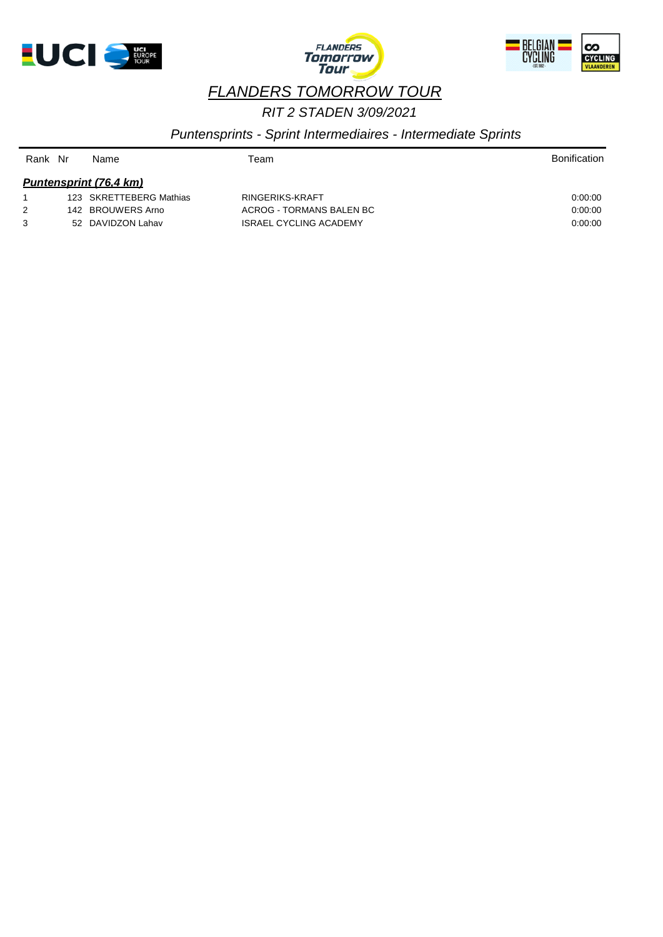





## *RIT 2 STADEN 3/09/2021*

### *Puntensprints - Sprint Intermediaires - Intermediate Sprints*

| Rank | Nr | Name                    | Team                          | <b>Bonification</b> |
|------|----|-------------------------|-------------------------------|---------------------|
|      |    | Puntensprint (76,4 km)  |                               |                     |
|      |    | 123 SKRETTEBERG Mathias | RINGERIKS-KRAFT               | 0.00:00             |
| 2    |    | 142 BROUWERS Arno       | ACROG - TORMANS BALEN BC      | 0.00.00             |
| 3    |    | 52 DAVIDZON Lahav       | <b>ISRAEL CYCLING ACADEMY</b> | 0:00:00             |
|      |    |                         |                               |                     |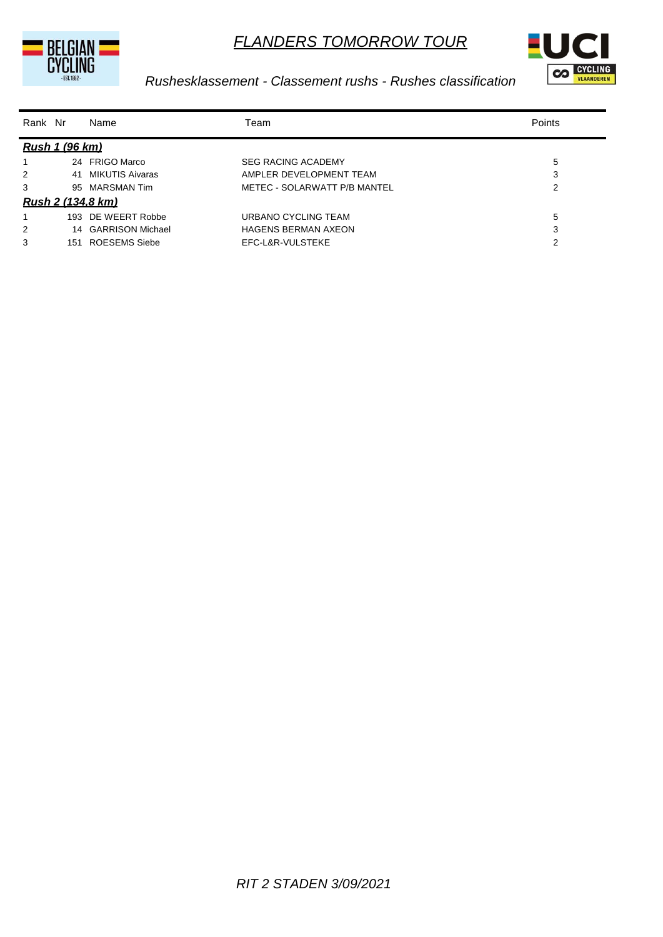



## *Rushesklassement - Classement rushs - Rushes classification*

| Rank Nr |                       | Name                     | Team                         | Points |
|---------|-----------------------|--------------------------|------------------------------|--------|
|         | <b>Rush 1 (96 km)</b> |                          |                              |        |
|         |                       | 24 FRIGO Marco           | <b>SEG RACING ACADEMY</b>    | 5      |
| 2       |                       | 41 MIKUTIS Aivaras       | AMPLER DEVELOPMENT TEAM      | 3      |
| 3       |                       | 95 MARSMAN Tim           | METEC - SOLARWATT P/B MANTEL | 2      |
|         |                       | <u>Rush 2 (134,8 km)</u> |                              |        |
|         | 193                   | DE WEERT Robbe           | URBANO CYCLING TEAM          | 5      |
| 2       |                       | 14 GARRISON Michael      | <b>HAGENS BERMAN AXEON</b>   | 3      |
| 3       | 151                   | ROESEMS Siebe            | EFC-L&R-VULSTEKE             | 2      |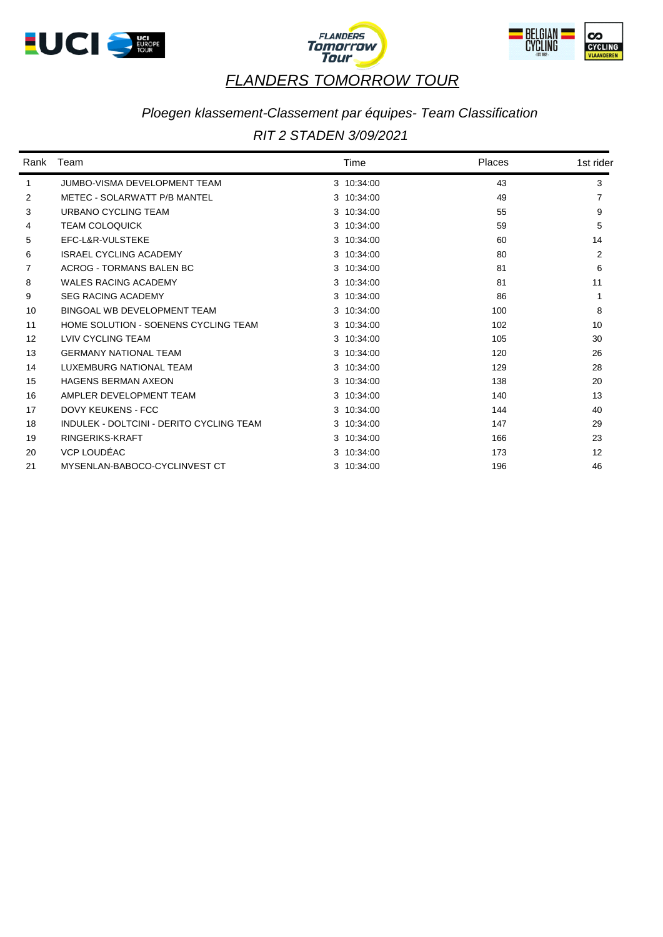





## *Ploegen klassement-Classement par équipes- Team Classification*

### *RIT 2 STADEN 3/09/2021*

| Rank              | Team                                     | Time       | Places | 1st rider |
|-------------------|------------------------------------------|------------|--------|-----------|
| $\mathbf 1$       | <b>JUMBO-VISMA DEVELOPMENT TEAM</b>      | 3 10:34:00 | 43     | 3         |
| 2                 | METEC - SOLARWATT P/B MANTEL             | 3 10:34:00 | 49     |           |
| 3                 | URBANO CYCLING TEAM                      | 3 10:34:00 | 55     | 9         |
| 4                 | <b>TEAM COLOQUICK</b>                    | 3 10:34:00 | 59     | 5         |
| 5                 | EFC-L&R-VULSTEKE                         | 3 10:34:00 | 60     | 14        |
| 6                 | <b>ISRAEL CYCLING ACADEMY</b>            | 3 10:34:00 | 80     | 2         |
| 7                 | ACROG - TORMANS BALEN BC                 | 3 10:34:00 | 81     | 6         |
| 8                 | <b>WALES RACING ACADEMY</b>              | 3 10:34:00 | 81     | 11        |
| 9                 | <b>SEG RACING ACADEMY</b>                | 3 10:34:00 | 86     |           |
| 10                | BINGOAL WB DEVELOPMENT TEAM              | 3 10:34:00 | 100    | 8         |
| 11                | HOME SOLUTION - SOENENS CYCLING TEAM     | 3 10:34:00 | 102    | 10        |
| $12 \overline{ }$ | LVIV CYCLING TEAM                        | 3 10:34:00 | 105    | 30        |
| 13                | <b>GERMANY NATIONAL TEAM</b>             | 3 10:34:00 | 120    | 26        |
| 14                | LUXEMBURG NATIONAL TEAM                  | 3 10:34:00 | 129    | 28        |
| 15                | <b>HAGENS BERMAN AXEON</b>               | 3 10:34:00 | 138    | 20        |
| 16                | AMPLER DEVELOPMENT TEAM                  | 3 10:34:00 | 140    | 13        |
| 17                | <b>DOVY KEUKENS - FCC</b>                | 3 10:34:00 | 144    | 40        |
| 18                | INDULEK - DOLTCINI - DERITO CYCLING TEAM | 3 10:34:00 | 147    | 29        |
| 19                | RINGERIKS-KRAFT                          | 3 10:34:00 | 166    | 23        |
| 20                | VCP LOUDÉAC                              | 3 10:34:00 | 173    | 12        |
| 21                | MYSENLAN-BABOCO-CYCLINVEST CT            | 3 10:34:00 | 196    | 46        |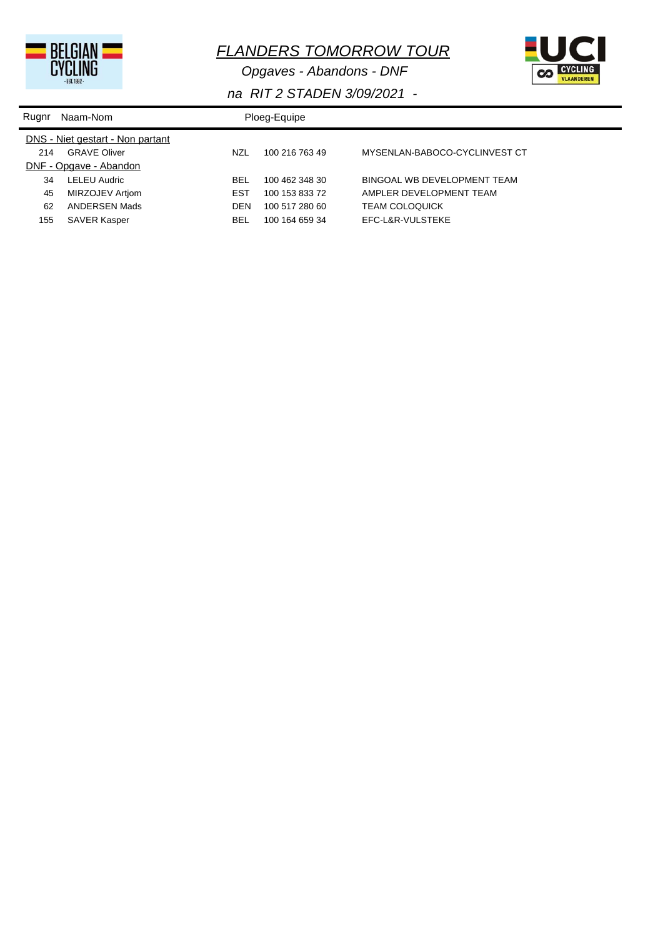

*Opgaves - Abandons - DNF*



| Rugnr | Naam-Nom                         |            | Ploeg-Equipe   |                               |  |
|-------|----------------------------------|------------|----------------|-------------------------------|--|
|       | DNS - Niet gestart - Non partant |            |                |                               |  |
| 214   | <b>GRAVE Oliver</b>              | <b>NZL</b> | 100 216 763 49 | MYSENLAN-BABOCO-CYCLINVEST CT |  |
|       | DNF - Opgave - Abandon           |            |                |                               |  |
| 34    | <b>LELEU Audric</b>              | <b>BEL</b> | 100 462 348 30 | BINGOAL WB DEVELOPMENT TEAM   |  |
| 45    | MIRZOJEV Artiom                  | <b>EST</b> | 100 153 833 72 | AMPLER DEVELOPMENT TEAM       |  |
| 62    | ANDERSEN Mads                    | DEN        | 100 517 280 60 | <b>TEAM COLOQUICK</b>         |  |
| 155   | SAVER Kasper                     | <b>BEL</b> | 100 164 659 34 | EFC-L&R-VULSTEKE              |  |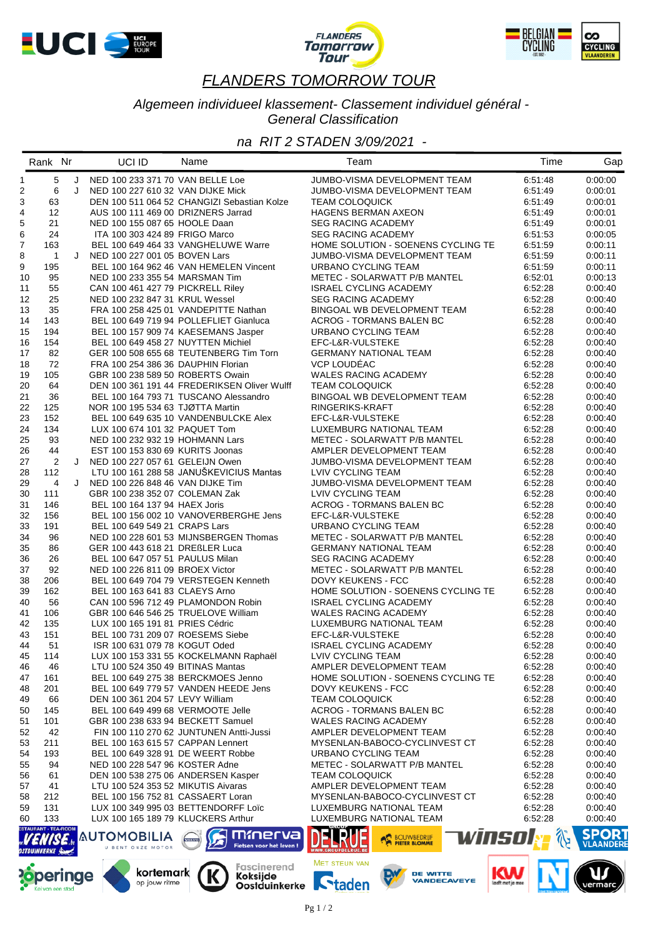





#### *Algemeen individueel klassement- Classement individuel général - General Classification*

### *na RIT 2 STADEN 3/09/2021 -*

|                | Rank Nr                     |   | UCI ID                                                            | Name                                               | Team                                                          | Time               | Gap                              |
|----------------|-----------------------------|---|-------------------------------------------------------------------|----------------------------------------------------|---------------------------------------------------------------|--------------------|----------------------------------|
| $\mathbf{1}$   | 5                           | J | NED 100 233 371 70 VAN BELLE Loe                                  |                                                    | JUMBO-VISMA DEVELOPMENT TEAM                                  | 6:51:48            | 0:00:00                          |
| 2              | 6                           | J | NED 100 227 610 32 VAN DIJKE Mick                                 |                                                    | JUMBO-VISMA DEVELOPMENT TEAM                                  | 6:51:49            | 0:00:01                          |
| 3              | 63                          |   |                                                                   | DEN 100 511 064 52 CHANGIZI Sebastian Kolze        | <b>TEAM COLOQUICK</b>                                         | 6:51:49            | 0:00:01                          |
| $\overline{4}$ | 12                          |   | AUS 100 111 469 00 DRIZNERS Jarrad                                |                                                    | <b>HAGENS BERMAN AXEON</b>                                    | 6:51:49            | 0:00:01                          |
| 5              | 21                          |   | NED 100 155 087 65 HOOLE Daan                                     |                                                    | <b>SEG RACING ACADEMY</b>                                     | 6:51:49            | 0:00:01                          |
| 6              | 24                          |   | ITA 100 303 424 89 FRIGO Marco                                    |                                                    | <b>SEG RACING ACADEMY</b>                                     | 6:51:53            | 0:00:05                          |
| $\overline{7}$ | 163                         |   |                                                                   | BEL 100 649 464 33 VANGHELUWE Warre                | HOME SOLUTION - SOENENS CYCLING TE                            | 6:51:59            | 0:00:11                          |
| 8              | $\mathbf{1}$                | J | NED 100 227 001 05 BOVEN Lars                                     |                                                    | JUMBO-VISMA DEVELOPMENT TEAM                                  | 6:51:59            | 0:00:11                          |
| 9              | 195                         |   |                                                                   | BEL 100 164 962 46 VAN HEMELEN Vincent             | URBANO CYCLING TEAM                                           | 6:51:59            | 0:00:11                          |
| 10             | 95                          |   | NED 100 233 355 54 MARSMAN Tim                                    |                                                    | METEC - SOLARWATT P/B MANTEL                                  | 6:52:01            | 0:00:13                          |
| 11             | 55                          |   | CAN 100 461 427 79 PICKRELL Riley                                 |                                                    | <b>ISRAEL CYCLING ACADEMY</b>                                 | 6:52:28            | 0:00:40                          |
| 12             | 25                          |   | NED 100 232 847 31 KRUL Wessel                                    |                                                    | <b>SEG RACING ACADEMY</b>                                     | 6:52:28            | 0:00:40                          |
| 13             | 35                          |   |                                                                   | FRA 100 258 425 01 VANDEPITTE Nathan               | BINGOAL WB DEVELOPMENT TEAM                                   | 6:52:28            | 0:00:40                          |
| 14             | 143                         |   |                                                                   | BEL 100 649 719 94 POLLEFLIET Gianluca             | ACROG - TORMANS BALEN BC                                      | 6:52:28            | 0:00:40                          |
| 15             | 194                         |   |                                                                   | BEL 100 157 909 74 KAESEMANS Jasper                | URBANO CYCLING TEAM                                           | 6:52:28            | 0:00:40                          |
| 16             | 154                         |   | BEL 100 649 458 27 NUYTTEN Michiel                                |                                                    | EFC-L&R-VULSTEKE                                              | 6:52:28            | 0:00:40                          |
| 17             | 82                          |   |                                                                   | GER 100 508 655 68 TEUTENBERG Tim Torn             | <b>GERMANY NATIONAL TEAM</b>                                  | 6:52:28            | 0:00:40                          |
| 18             | 72                          |   | FRA 100 254 386 36 DAUPHIN Florian                                |                                                    | <b>VCP LOUDEAC</b>                                            | 6:52:28            | 0:00:40                          |
| 19             | 105                         |   | GBR 100 238 589 50 ROBERTS Owain                                  |                                                    | WALES RACING ACADEMY                                          | 6:52:28            | 0:00:40                          |
| 20             | 64                          |   |                                                                   | DEN 100 361 191 44 FREDERIKSEN Oliver Wulff        | <b>TEAM COLOQUICK</b>                                         | 6:52:28            | 0:00:40                          |
| 21             | 36                          |   |                                                                   | BEL 100 164 793 71 TUSCANO Alessandro              | <b>BINGOAL WB DEVELOPMENT TEAM</b>                            | 6:52:28            | 0:00:40                          |
| 22             | 125                         |   | NOR 100 195 534 63 TJØTTA Martin                                  |                                                    | RINGERIKS-KRAFT                                               | 6:52:28            | 0:00:40                          |
| 23             | 152                         |   |                                                                   | BEL 100 649 635 10 VANDENBULCKE Alex               | EFC-L&R-VULSTEKE                                              | 6:52:28            | 0:00:40                          |
| 24             | 134                         |   | LUX 100 674 101 32 PAQUET Tom                                     |                                                    | LUXEMBURG NATIONAL TEAM                                       | 6:52:28            | 0:00:40                          |
| 25             | 93                          |   | NED 100 232 932 19 HOHMANN Lars                                   |                                                    | METEC - SOLARWATT P/B MANTEL                                  | 6:52:28            | 0:00:40                          |
| 26             | 44                          |   | EST 100 153 830 69 KURITS Joonas                                  |                                                    | AMPLER DEVELOPMENT TEAM                                       | 6:52:28            | 0:00:40                          |
| 27             | $\overline{2}$              | J | NED 100 227 057 61 GELEIJN Owen                                   |                                                    | JUMBO-VISMA DEVELOPMENT TEAM                                  | 6:52:28            | 0:00:40                          |
| 28             | 112                         |   |                                                                   | LTU 100 161 288 58 JANUŠKEVICIUS Mantas            | LVIV CYCLING TEAM                                             | 6:52:28            | 0:00:40                          |
| 29             | 4                           | J | NED 100 226 848 46 VAN DIJKE Tim                                  |                                                    | JUMBO-VISMA DEVELOPMENT TEAM                                  | 6:52:28            | 0:00:40                          |
| 30             | 111                         |   | GBR 100 238 352 07 COLEMAN Zak                                    |                                                    | LVIV CYCLING TEAM                                             | 6:52:28            | 0:00:40                          |
| 31             | 146                         |   | BEL 100 164 137 94 HAEX Joris                                     |                                                    | ACROG - TORMANS BALEN BC                                      | 6:52:28            | 0:00:40                          |
| 32             | 156                         |   |                                                                   | BEL 100 156 002 10 VANOVERBERGHE Jens              | EFC-L&R-VULSTEKE                                              | 6:52:28            | 0:00:40                          |
| 33             | 191                         |   | BEL 100 649 549 21 CRAPS Lars                                     |                                                    | URBANO CYCLING TEAM                                           | 6:52:28            | 0:00:40                          |
| 34             | 96                          |   |                                                                   | NED 100 228 601 53 MIJNSBERGEN Thomas              | METEC - SOLARWATT P/B MANTEL                                  | 6:52:28            | 0:00:40                          |
| 35             | 86                          |   | GER 100 443 618 21 DREßLER Luca                                   |                                                    | <b>GERMANY NATIONAL TEAM</b>                                  | 6:52:28            | 0:00:40                          |
| 36             | 26                          |   | BEL 100 647 057 51 PAULUS Milan                                   |                                                    | <b>SEG RACING ACADEMY</b>                                     | 6:52:28            | 0:00:40                          |
| 37             | 92                          |   | NED 100 226 811 09 BROEX Victor                                   |                                                    | METEC - SOLARWATT P/B MANTEL                                  | 6:52:28            | 0:00:40                          |
| 38             | 206                         |   |                                                                   | BEL 100 649 704 79 VERSTEGEN Kenneth               | DOVY KEUKENS - FCC                                            | 6:52:28            | 0:00:40                          |
| 39             | 162                         |   | BEL 100 163 641 83 CLAEYS Arno                                    |                                                    | HOME SOLUTION - SOENENS CYCLING TE                            | 6:52:28            | 0:00:40                          |
| 40             | 56                          |   | CAN 100 596 712 49 PLAMONDON Robin                                |                                                    | <b>ISRAEL CYCLING ACADEMY</b>                                 | 6:52:28            | 0:00:40                          |
| 41             | 106                         |   | GBR 100 646 546 25 TRUELOVE William                               |                                                    | <b>WALES RACING ACADEMY</b>                                   | 6:52:28            | 0:00:40                          |
| 42             | 135                         |   | LUX 100 165 191 81 PRIES Cédric                                   |                                                    | LUXEMBURG NATIONAL TEAM                                       | 6:52:28            | 0:00:40                          |
| 43<br>44       | 151<br>51                   |   | BEL 100 731 209 07 ROESEMS Siebe<br>ISR 100 631 079 78 KOGUT Oded |                                                    | EFC-L&R-VULSTEKE<br><b>ISRAEL CYCLING ACADEMY</b>             | 6:52:28<br>6:52:28 | 0:00:40<br>0:00:40               |
|                |                             |   |                                                                   |                                                    |                                                               |                    |                                  |
| 45             | 114                         |   |                                                                   | LUX 100 153 331 55 KOCKELMANN Raphaël              | LVIV CYCLING TEAM                                             | 6:52:28            | 0:00:40                          |
| 46<br>47       | 46<br>161                   |   | LTU 100 524 350 49 BITINAS Mantas                                 | BEL 100 649 275 38 BERCKMOES Jenno                 | AMPLER DEVELOPMENT TEAM<br>HOME SOLUTION - SOENENS CYCLING TE | 6.52.28<br>6:52:28 | 0:00:40<br>0:00:40               |
|                | 201                         |   |                                                                   | BEL 100 649 779 57 VANDEN HEEDE Jens               | <b>DOVY KEUKENS - FCC</b>                                     | 6.52.28            | 0:00:40                          |
| 48             |                             |   | DEN 100 361 204 57 LEVY William                                   |                                                    | <b>TEAM COLOQUICK</b>                                         | 6.52.28            |                                  |
| 49<br>50       | 66                          |   | BEL 100 649 499 68 VERMOOTE Jelle                                 |                                                    | ACROG - TORMANS BALEN BC                                      | 6.52.28            | 0:00:40<br>0:00:40               |
| 51             | 145<br>101                  |   | GBR 100 238 633 94 BECKETT Samuel                                 |                                                    | <b>WALES RACING ACADEMY</b>                                   | 6:52:28            | 0:00:40                          |
| 52             | 42                          |   |                                                                   | FIN 100 110 270 62 JUNTUNEN Antti-Jussi            | AMPLER DEVELOPMENT TEAM                                       | 6:52:28            | 0:00:40                          |
| 53             | 211                         |   | BEL 100 163 615 57 CAPPAN Lennert                                 |                                                    | MYSENLAN-BABOCO-CYCLINVEST CT                                 | 6.52.28            | 0:00:40                          |
| 54             | 193                         |   | BEL 100 649 328 91 DE WEERT Robbe                                 |                                                    | URBANO CYCLING TEAM                                           | 6.52.28            | 0:00:40                          |
| 55             | 94                          |   | NED 100 228 547 96 KOSTER Adne                                    |                                                    | METEC - SOLARWATT P/B MANTEL                                  | 6:52:28            | 0:00:40                          |
| 56             | 61                          |   | DEN 100 538 275 06 ANDERSEN Kasper                                |                                                    | TEAM COLOQUICK                                                | 6:52:28            | 0:00:40                          |
| 57             | 41                          |   | LTU 100 524 353 52 MIKUTIS Aivaras                                |                                                    | AMPLER DEVELOPMENT TEAM                                       | 6.52.28            | 0:00:40                          |
| 58             | 212                         |   | BEL 100 156 752 81 CASSAERT Loran                                 |                                                    | MYSENLAN-BABOCO-CYCLINVEST CT                                 | 6.52.28            | 0:00:40                          |
| 59             | 131                         |   |                                                                   | LUX 100 349 995 03 BETTENDORFF Loïc                | LUXEMBURG NATIONAL TEAM                                       | 6.52.28            | 0:00:40                          |
| 60             | 133                         |   | LUX 100 165 189 79 KLUCKERS Arthur                                |                                                    | LUXEMBURG NATIONAL TEAM                                       | 6:52:28            | 0:00:40                          |
|                | <b>ESTAURANT - TEA-ROOM</b> |   |                                                                   |                                                    |                                                               |                    |                                  |
|                |                             |   | <b>AUTOMOBILIA</b><br>U BENT ONZE MOTOR                           | mmerva<br><b>VOLVO</b><br>Fietsen voor het leven ! | winsol<br><b>BOUWBEDRUF</b>                                   |                    | <b>SPORT</b><br><b>VLAANDERE</b> |



Fascinerend<br>**Koksijde**<br>**Oostduinkerke** 

kortemark

op jouw ritme

K

MET STEUN VAN

**Staden** 



K

 $\overline{\mathbf{u}}$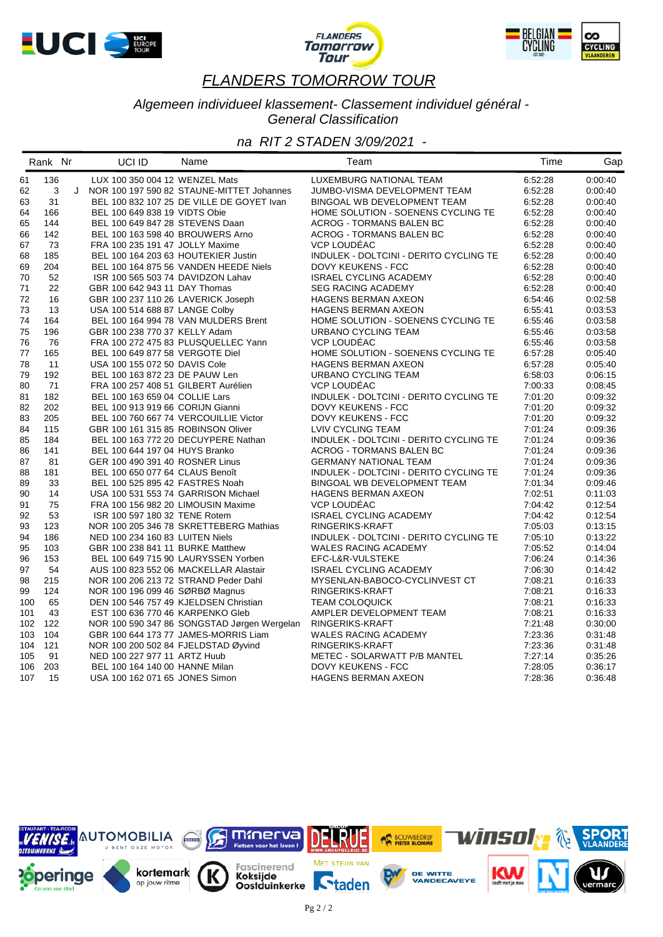





#### *Algemeen individueel klassement- Classement individuel général - General Classification*

|     | Rank Nr |   | UCI ID                              | Name                                        | Team                                   | Time    | Gap     |
|-----|---------|---|-------------------------------------|---------------------------------------------|----------------------------------------|---------|---------|
| 61  | 136     |   | LUX 100 350 004 12 WENZEL Mats      |                                             | LUXEMBURG NATIONAL TEAM                | 6:52:28 | 0.00:40 |
| 62  | 3       | J |                                     | NOR 100 197 590 82 STAUNE-MITTET Johannes   | JUMBO-VISMA DEVELOPMENT TEAM           | 6:52:28 | 0:00:40 |
| 63  | 31      |   |                                     | BEL 100 832 107 25 DE VILLE DE GOYET Ivan   | BINGOAL WB DEVELOPMENT TEAM            | 6:52:28 | 0:00:40 |
| 64  | 166     |   | BEL 100 649 838 19 VIDTS Obie       |                                             | HOME SOLUTION - SOENENS CYCLING TE     | 6:52:28 | 0:00:40 |
| 65  | 144     |   | BEL 100 649 847 28 STEVENS Daan     |                                             | ACROG - TORMANS BALEN BC               | 6:52:28 | 0:00:40 |
| 66  | 142     |   | BEL 100 163 598 40 BROUWERS Arno    |                                             | ACROG - TORMANS BALEN BC               | 6:52:28 | 0:00:40 |
| 67  | 73      |   | FRA 100 235 191 47 JOLLY Maxime     |                                             | VCP LOUDÉAC                            | 6:52:28 | 0:00:40 |
| 68  | 185     |   | BEL 100 164 203 63 HOUTEKIER Justin |                                             | INDULEK - DOLTCINI - DERITO CYCLING TE | 6:52:28 | 0:00:40 |
| 69  | 204     |   |                                     | BEL 100 164 875 56 VANDEN HEEDE Niels       | DOVY KEUKENS - FCC                     | 6:52:28 | 0:00:40 |
| 70  | 52      |   | ISR 100 565 503 74 DAVIDZON Lahav   |                                             | <b>ISRAEL CYCLING ACADEMY</b>          | 6:52:28 | 0:00:40 |
| 71  | 22      |   | GBR 100 642 943 11 DAY Thomas       |                                             | <b>SEG RACING ACADEMY</b>              | 6:52:28 | 0:00:40 |
| 72  | 16      |   | GBR 100 237 110 26 LAVERICK Joseph  |                                             | <b>HAGENS BERMAN AXEON</b>             | 6:54:46 | 0.02:58 |
| 73  | 13      |   | USA 100 514 688 87 LANGE Colby      |                                             | <b>HAGENS BERMAN AXEON</b>             | 6:55:41 | 0:03:53 |
| 74  | 164     |   |                                     | BEL 100 164 994 78 VAN MULDERS Brent        | HOME SOLUTION - SOENENS CYCLING TE     | 6:55:46 | 0:03:58 |
| 75  | 196     |   | GBR 100 238 770 37 KELLY Adam       |                                             | URBANO CYCLING TEAM                    | 6:55:46 | 0:03:58 |
| 76  | 76      |   |                                     | FRA 100 272 475 83 PLUSQUELLEC Yann         | VCP LOUDEAC                            | 6:55:46 | 0:03:58 |
| 77  | 165     |   | BEL 100 649 877 58 VERGOTE Diel     |                                             | HOME SOLUTION - SOENENS CYCLING TE     | 6:57:28 | 0:05:40 |
| 78  | 11      |   | USA 100 155 072 50 DAVIS Cole       |                                             | <b>HAGENS BERMAN AXEON</b>             | 6:57:28 | 0:05:40 |
| 79  | 192     |   | BEL 100 163 872 23 DE PAUW Len      |                                             | URBANO CYCLING TEAM                    | 6:58:03 | 0:06:15 |
| 80  | 71      |   | FRA 100 257 408 51 GILBERT Aurélien |                                             | VCP LOUDÉAC                            | 7:00:33 | 0:08:45 |
| 81  | 182     |   | BEL 100 163 659 04 COLLIE Lars      |                                             | INDULEK - DOLTCINI - DERITO CYCLING TE | 7:01:20 | 0:09:32 |
| 82  | 202     |   | BEL 100 913 919 66 CORIJN Gianni    |                                             | DOVY KEUKENS - FCC                     | 7:01:20 | 0:09:32 |
| 83  | 205     |   |                                     | BEL 100 760 667 74 VERCOUILLIE Victor       | <b>DOVY KEUKENS - FCC</b>              | 7:01:20 | 0:09:32 |
| 84  | 115     |   | GBR 100 161 315 85 ROBINSON Oliver  |                                             | LVIV CYCLING TEAM                      | 7:01:24 | 0:09:36 |
| 85  | 184     |   |                                     | BEL 100 163 772 20 DECUYPERE Nathan         | INDULEK - DOLTCINI - DERITO CYCLING TE | 7:01:24 | 0:09:36 |
| 86  | 141     |   | BEL 100 644 197 04 HUYS Branko      |                                             | ACROG - TORMANS BALEN BC               | 7:01:24 | 0:09:36 |
| 87  | 81      |   | GER 100 490 391 40 ROSNER Linus     |                                             | <b>GERMANY NATIONAL TEAM</b>           | 7:01:24 | 0:09:36 |
| 88  | 181     |   | BEL 100 650 077 64 CLAUS Benoît     |                                             | INDULEK - DOLTCINI - DERITO CYCLING TE | 7:01:24 | 0:09:36 |
| 89  | 33      |   | BEL 100 525 895 42 FASTRES Noah     |                                             | BINGOAL WB DEVELOPMENT TEAM            | 7:01:34 | 0:09:46 |
| 90  | 14      |   | USA 100 531 553 74 GARRISON Michael |                                             | <b>HAGENS BERMAN AXEON</b>             | 7:02:51 | 0:11:03 |
| 91  | 75      |   | FRA 100 156 982 20 LIMOUSIN Maxime  |                                             | VCP LOUDÉAC                            | 7:04:42 | 0:12:54 |
| 92  | 53      |   | ISR 100 597 180 32 TENE Rotem       |                                             | <b>ISRAEL CYCLING ACADEMY</b>          | 7:04:42 | 0:12:54 |
| 93  | 123     |   |                                     | NOR 100 205 346 78 SKRETTEBERG Mathias      | RINGERIKS-KRAFT                        | 7:05:03 | 0.13:15 |
| 94  | 186     |   | NED 100 234 160 83 LUITEN Niels     |                                             | INDULEK - DOLTCINI - DERITO CYCLING TE | 7:05:10 | 0:13:22 |
| 95  | 103     |   | GBR 100 238 841 11 BURKE Matthew    |                                             | <b>WALES RACING ACADEMY</b>            | 7:05:52 | 0:14:04 |
| 96  | 153     |   |                                     | BEL 100 649 715 90 LAURYSSEN Yorben         | EFC-L&R-VULSTEKE                       | 7:06:24 | 0:14:36 |
| 97  | 54      |   |                                     | AUS 100 823 552 06 MACKELLAR Alastair       | <b>ISRAEL CYCLING ACADEMY</b>          | 7:06:30 | 0:14:42 |
| 98  | 215     |   |                                     | NOR 100 206 213 72 STRAND Peder Dahl        | MYSENLAN-BABOCO-CYCLINVEST CT          | 7:08:21 | 0:16:33 |
| 99  | 124     |   | NOR 100 196 099 46 SØRBØ Magnus     |                                             | RINGERIKS-KRAFT                        | 7:08:21 | 0:16:33 |
| 100 | 65      |   |                                     | DEN 100 546 757 49 KJELDSEN Christian       | <b>TEAM COLOQUICK</b>                  | 7:08:21 | 0:16:33 |
| 101 | 43      |   | EST 100 636 770 46 KARPENKO Gleb    |                                             | AMPLER DEVELOPMENT TEAM                | 7:08:21 | 0:16:33 |
| 102 | 122     |   |                                     | NOR 100 590 347 86 SONGSTAD Jørgen Wergelan | RINGERIKS-KRAFT                        | 7:21:48 | 0:30:00 |
| 103 | 104     |   |                                     | GBR 100 644 173 77 JAMES-MORRIS Liam        | <b>WALES RACING ACADEMY</b>            | 7:23:36 | 0:31:48 |
| 104 | 121     |   | NOR 100 200 502 84 FJELDSTAD Øyvind |                                             | RINGERIKS-KRAFT                        | 7:23:36 | 0:31:48 |
| 105 | 91      |   | NED 100 227 977 11 ARTZ Huub        |                                             | METEC - SOLARWATT P/B MANTEL           | 7:27:14 | 0:35:26 |
| 106 | 203     |   | BEL 100 164 140 00 HANNE Milan      |                                             | DOVY KEUKENS - FCC                     | 7:28:05 | 0:36:17 |
| 107 | 15      |   | USA 100 162 071 65 JONES Simon      |                                             | <b>HAGENS BERMAN AXEON</b>             | 7:28:36 | 0:36:48 |
|     |         |   |                                     |                                             |                                        |         |         |

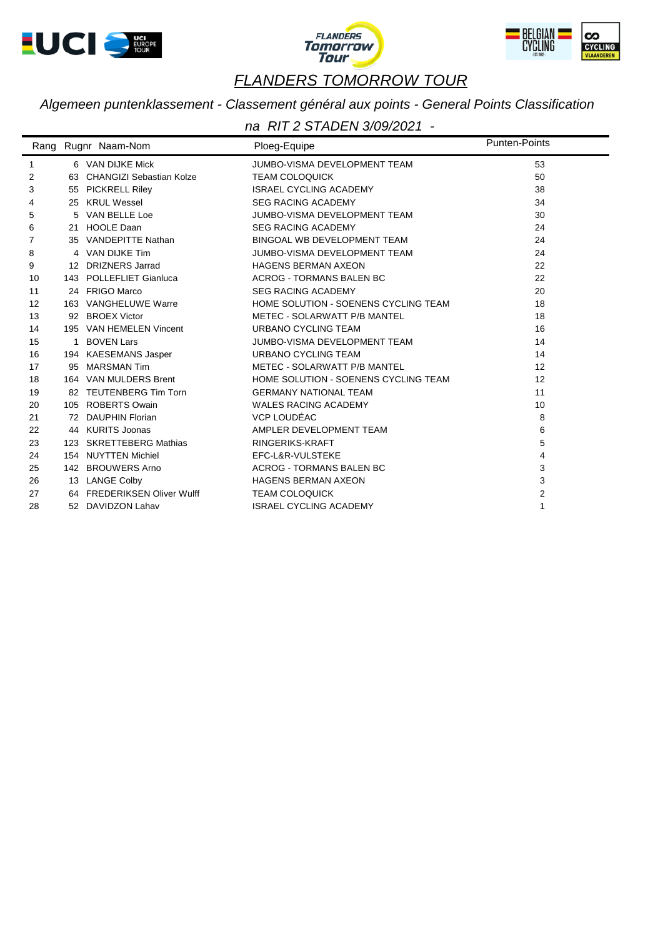





*Algemeen puntenklassement - Classement général aux points - General Points Classification*

|    |     | Rang Rugnr Naam-Nom         | Ploeg-Equipe                         | <b>Punten-Points</b> |
|----|-----|-----------------------------|--------------------------------------|----------------------|
| 1  |     | 6 VAN DIJKE Mick            | JUMBO-VISMA DEVELOPMENT TEAM         | 53                   |
| 2  |     | 63 CHANGIZI Sebastian Kolze | <b>TEAM COLOQUICK</b>                | 50                   |
| 3  | 55  | <b>PICKRELL Riley</b>       | <b>ISRAEL CYCLING ACADEMY</b>        | 38                   |
| 4  |     | 25 KRUL Wessel              | <b>SEG RACING ACADEMY</b>            | 34                   |
| 5  |     | 5 VAN BELLE Loe             | JUMBO-VISMA DEVELOPMENT TEAM         | 30                   |
| 6  |     | 21 HOOLE Daan               | <b>SEG RACING ACADEMY</b>            | 24                   |
| 7  |     | 35 VANDEPITTE Nathan        | BINGOAL WB DEVELOPMENT TEAM          | 24                   |
| 8  |     | 4 VAN DIJKE Tim             | JUMBO-VISMA DEVELOPMENT TEAM         | 24                   |
| 9  |     | 12 DRIZNERS Jarrad          | <b>HAGENS BERMAN AXEON</b>           | 22                   |
| 10 |     | 143 POLLEFLIET Gianluca     | ACROG - TORMANS BALEN BC             | 22                   |
| 11 |     | 24 FRIGO Marco              | <b>SEG RACING ACADEMY</b>            | 20                   |
| 12 |     | 163 VANGHELUWE Warre        | HOME SOLUTION - SOENENS CYCLING TEAM | 18                   |
| 13 |     | 92 BROEX Victor             | METEC - SOLARWATT P/B MANTEL         | 18                   |
| 14 |     | 195 VAN HEMELEN Vincent     | <b>URBANO CYCLING TEAM</b>           | 16                   |
| 15 |     | 1 BOVEN Lars                | JUMBO-VISMA DEVELOPMENT TEAM         | 14                   |
| 16 |     | 194 KAESEMANS Jasper        | <b>URBANO CYCLING TEAM</b>           | 14                   |
| 17 | 95  | <b>MARSMAN Tim</b>          | METEC - SOLARWATT P/B MANTEL         | 12                   |
| 18 |     | 164 VAN MULDERS Brent       | HOME SOLUTION - SOENENS CYCLING TEAM | 12                   |
| 19 |     | 82 TEUTENBERG Tim Torn      | <b>GERMANY NATIONAL TEAM</b>         | 11                   |
| 20 |     | 105 ROBERTS Owain           | <b>WALES RACING ACADEMY</b>          | 10                   |
| 21 |     | 72 DAUPHIN Florian          | VCP LOUDÉAC                          | 8                    |
| 22 |     | 44 KURITS Joonas            | AMPLER DEVELOPMENT TEAM              | 6                    |
| 23 |     | 123 SKRETTEBERG Mathias     | <b>RINGERIKS-KRAFT</b>               | 5                    |
| 24 |     | 154 NUYTTEN Michiel         | EFC-L&R-VULSTEKE                     | 4                    |
| 25 | 142 | <b>BROUWERS Arno</b>        | <b>ACROG - TORMANS BALEN BC</b>      | 3                    |
| 26 |     | 13 LANGE Colby              | <b>HAGENS BERMAN AXEON</b>           | 3                    |
| 27 |     | 64 FREDERIKSEN Oliver Wulff | <b>TEAM COLOQUICK</b>                | $\overline{2}$       |
| 28 |     | 52 DAVIDZON Lahav           | <b>ISRAEL CYCLING ACADEMY</b>        | 1                    |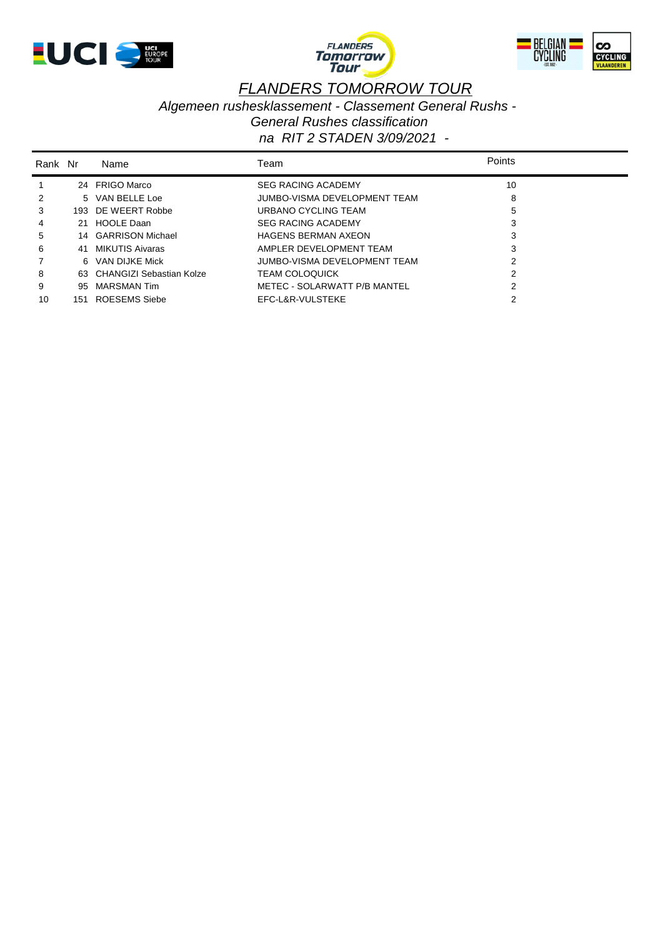





*Algemeen rushesklassement - Classement General Rushs -* 

*General Rushes classification*

| Rank Nr |     | Name                        | Team                         | <b>Points</b> |
|---------|-----|-----------------------------|------------------------------|---------------|
|         |     | 24 FRIGO Marco              | <b>SEG RACING ACADEMY</b>    | 10            |
| 2       |     | 5 VAN BELLE Loe             | JUMBO-VISMA DEVELOPMENT TEAM | 8             |
| 3       |     | 193 DE WEERT Robbe          | URBANO CYCLING TEAM          | 5             |
| 4       | 21. | <b>HOOLE Daan</b>           | <b>SEG RACING ACADEMY</b>    | 3             |
| 5       |     | 14 GARRISON Michael         | <b>HAGENS BERMAN AXEON</b>   | 3             |
| 6       | 41  | MIKUTIS Aivaras             | AMPLER DEVELOPMENT TEAM      | 3             |
|         |     | 6 VAN DIJKE Mick            | JUMBO-VISMA DEVELOPMENT TEAM |               |
| 8       |     | 63 CHANGIZI Sebastian Kolze | <b>TEAM COLOQUICK</b>        |               |
| 9       | 95  | <b>MARSMAN Tim</b>          | METEC - SOLARWATT P/B MANTEL |               |
| 10      | 151 | ROESEMS Siebe               | EFC-L&R-VULSTEKE             |               |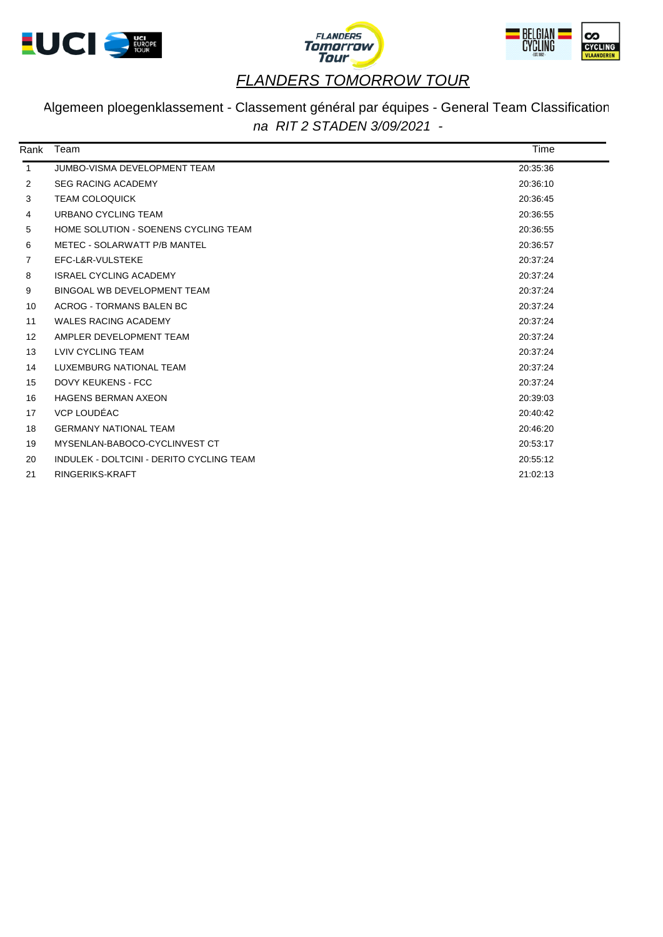





## Algemeen ploegenklassement - Classement général par équipes - General Team Classification *na RIT 2 STADEN 3/09/2021 -*

| Rank              | Team                                     | Time     |  |
|-------------------|------------------------------------------|----------|--|
| $\mathbf{1}$      | JUMBO-VISMA DEVELOPMENT TEAM             | 20:35:36 |  |
| 2                 | <b>SEG RACING ACADEMY</b>                | 20:36:10 |  |
| 3                 | <b>TEAM COLOQUICK</b>                    | 20:36:45 |  |
| 4                 | URBANO CYCLING TEAM                      | 20:36:55 |  |
| 5                 | HOME SOLUTION - SOENENS CYCLING TEAM     | 20:36:55 |  |
| 6                 | METEC - SOLARWATT P/B MANTEL             | 20:36:57 |  |
| 7                 | EFC-L&R-VULSTEKE                         | 20:37:24 |  |
| 8                 | <b>ISRAEL CYCLING ACADEMY</b>            | 20:37:24 |  |
| 9                 | <b>BINGOAL WB DEVELOPMENT TEAM</b>       | 20:37:24 |  |
| 10                | ACROG - TORMANS BALEN BC                 | 20:37:24 |  |
| 11                | <b>WALES RACING ACADEMY</b>              | 20:37:24 |  |
| $12 \overline{ }$ | AMPLER DEVELOPMENT TEAM                  | 20:37:24 |  |
| 13                | LVIV CYCLING TEAM                        | 20:37:24 |  |
| 14                | LUXEMBURG NATIONAL TEAM                  | 20:37:24 |  |
| 15                | <b>DOVY KEUKENS - FCC</b>                | 20:37:24 |  |
| 16                | <b>HAGENS BERMAN AXEON</b>               | 20:39:03 |  |
| 17                | VCP LOUDÉAC                              | 20:40:42 |  |
| 18                | <b>GERMANY NATIONAL TEAM</b>             | 20:46:20 |  |
| 19                | MYSENLAN-BABOCO-CYCLINVEST CT            | 20:53:17 |  |
| 20                | INDULEK - DOLTCINI - DERITO CYCLING TEAM | 20:55:12 |  |
| 21                | RINGERIKS-KRAFT                          | 21:02:13 |  |
|                   |                                          |          |  |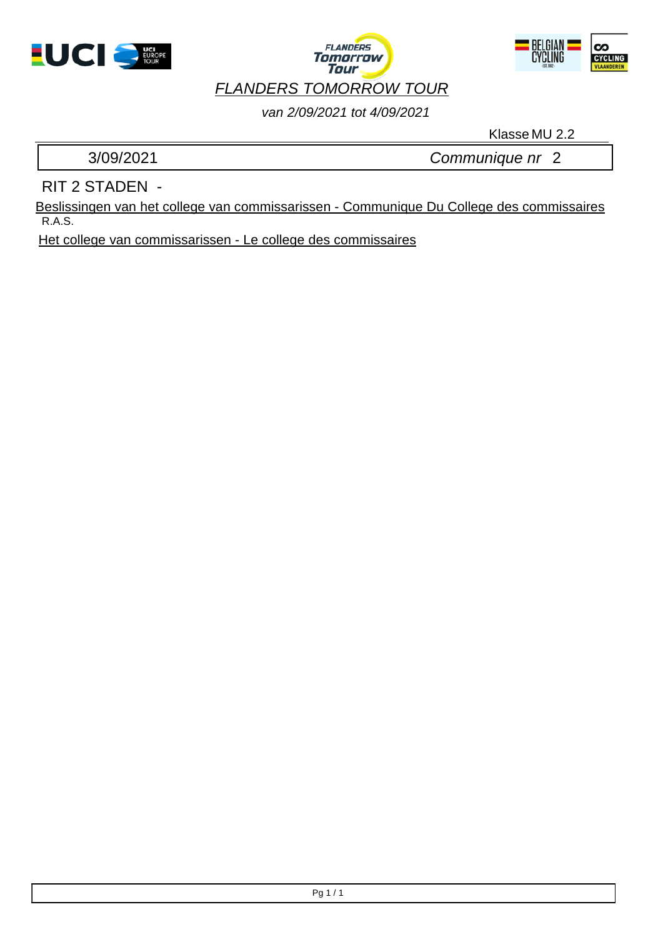





## *van 2/09/2021 tot 4/09/2021*

Klasse MU 2.2

3/09/2021 *Communique nr* 2

## RIT 2 STADEN -

R.A.S. Beslissingen van het college van commissarissen - Communique Du College des commissaires

Het college van commissarissen - Le college des commissaires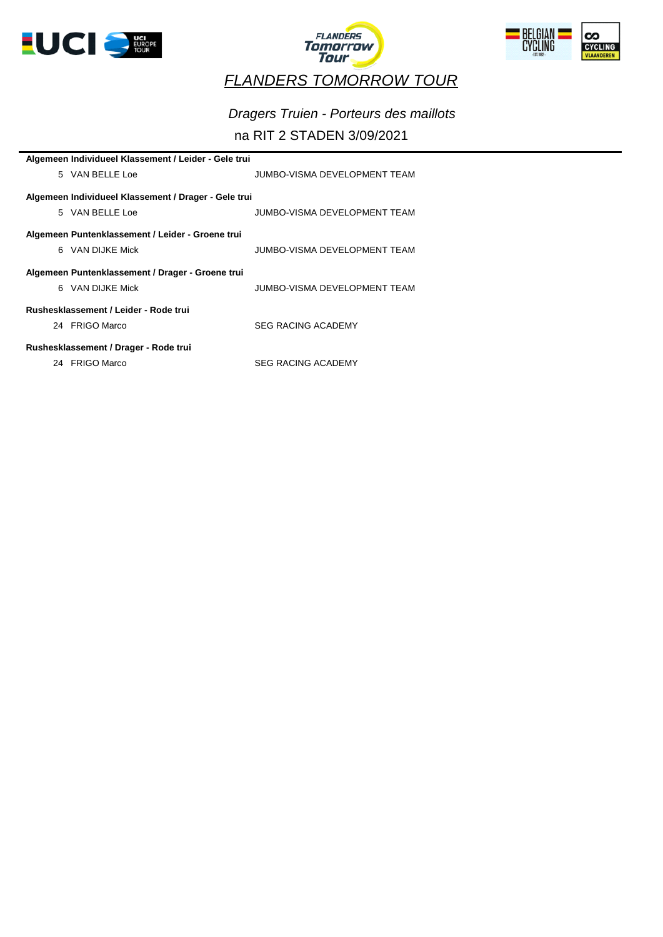





*Dragers Truien - Porteurs des maillots*

### na RIT 2 STADEN 3/09/2021

| Algemeen Individueel Klassement / Leider - Gele trui |                                                      |                              |  |  |  |  |
|------------------------------------------------------|------------------------------------------------------|------------------------------|--|--|--|--|
|                                                      | 5 VAN BELLE Loe                                      | JUMBO-VISMA DEVELOPMENT TEAM |  |  |  |  |
|                                                      | Algemeen Individueel Klassement / Drager - Gele trui |                              |  |  |  |  |
|                                                      | 5 VAN BELLE Loe                                      | JUMBO-VISMA DEVELOPMENT TEAM |  |  |  |  |
|                                                      | Algemeen Puntenklassement / Leider - Groene trui     |                              |  |  |  |  |
|                                                      | 6 VAN DIJKE Mick                                     | JUMBO-VISMA DEVELOPMENT TEAM |  |  |  |  |
|                                                      | Algemeen Puntenklassement / Drager - Groene trui     |                              |  |  |  |  |
|                                                      | 6 VAN DIJKE Mick                                     | JUMBO-VISMA DEVELOPMENT TEAM |  |  |  |  |
| Rushesklassement / Leider - Rode trui                |                                                      |                              |  |  |  |  |
|                                                      | 24 FRIGO Marco                                       | <b>SEG RACING ACADEMY</b>    |  |  |  |  |
| Rushesklassement / Drager - Rode trui                |                                                      |                              |  |  |  |  |
|                                                      | 24 FRIGO Marco                                       | <b>SEG RACING ACADEMY</b>    |  |  |  |  |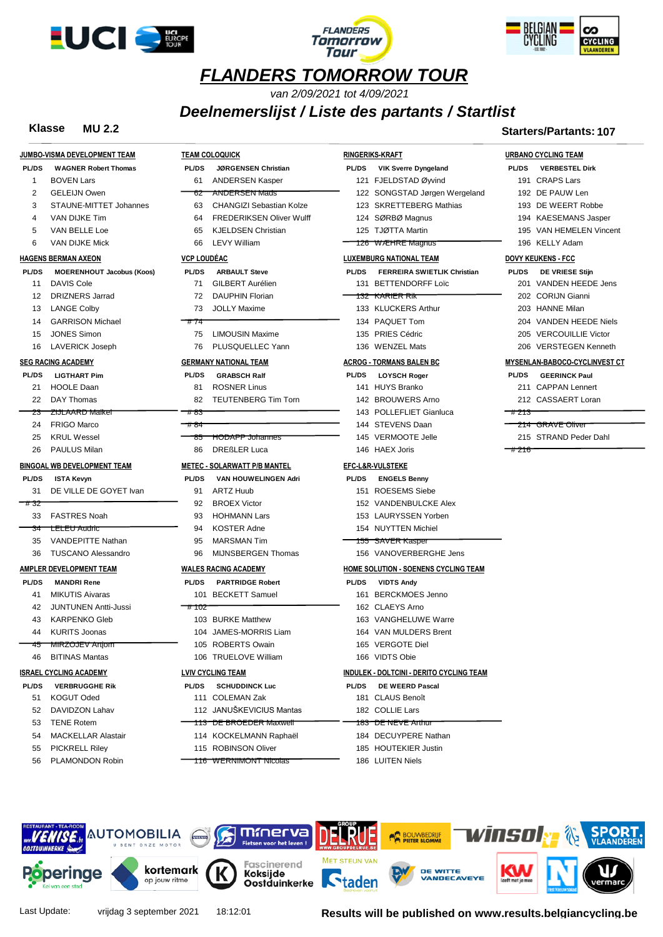





*van 2/09/2021 tot 4/09/2021*

### *Deelnemerslijst / Liste des partants / Startlist*

#### **Klasse MU 2.2 Starters/Partants: 107**

|                |                                    |                                            |                                                 | .u. เงา ขา - น. เนา เง .               |
|----------------|------------------------------------|--------------------------------------------|-------------------------------------------------|----------------------------------------|
|                | JUMBO-VISMA DEVELOPMENT TEAM       | <b>TEAM COLOQUICK</b>                      | <b>RINGERIKS-KRAFT</b>                          | <b>URBANO CYCLING TEAM</b>             |
| <b>PL/DS</b>   | <b>WAGNER Robert Thomas</b>        | <b>PL/DS</b><br><b>JØRGENSEN Christian</b> | <b>PL/DS</b><br><b>VIK Sverre Dyngeland</b>     | <b>PL/DS</b><br><b>VERBESTEL Dirk</b>  |
| $\mathbf{1}$   | <b>BOVEN Lars</b>                  | 61<br><b>ANDERSEN Kasper</b>               | 121 FJELDSTAD Øyvind                            | 191 CRAPS Lars                         |
| 2              | <b>GELEIJN Owen</b>                | <b>ANDERSEN Mads</b><br>62                 | 122 SONGSTAD Jørgen Wergeland                   | 192 DE PAUW Len                        |
| 3              | STAUNE-MITTET Johannes             | <b>CHANGIZI Sebastian Kolze</b><br>63      | 123 SKRETTEBERG Mathias                         | 193 DE WEERT Robbe                     |
| $\overline{4}$ | VAN DIJKE Tim                      | <b>FREDERIKSEN Oliver Wulff</b><br>64      | 124 SØRBØ Magnus                                | 194 KAESEMANS Jasper                   |
| 5              | VAN BELLE Loe                      | <b>KJELDSEN Christian</b><br>65            | 125 TJØTTA Martin                               | 195 VAN HEMELEN Vincent                |
| 6              | VAN DIJKE Mick                     | 66<br><b>LEVY William</b>                  | 126 WÆHRE Magnus                                | 196 KELLY Adam                         |
|                | <b>HAGENS BERMAN AXEON</b>         | <b>VCP LOUDÉAC</b>                         | <b>LUXEMBURG NATIONAL TEAM</b>                  | <b>DOVY KEUKENS - FCC</b>              |
| <b>PL/DS</b>   | <b>MOERENHOUT Jacobus (Koos)</b>   | <b>PL/DS</b><br><b>ARBAULT Steve</b>       | PL/DS<br><b>FERREIRA SWIETLIK Christian</b>     | <b>PL/DS</b><br><b>DE VRIESE Stijn</b> |
| 11             | <b>DAVIS Cole</b>                  | <b>GILBERT Aurélien</b><br>71              | 131 BETTENDORFF Loïc                            | 201 VANDEN HEEDE Jens                  |
| 12             | <b>DRIZNERS Jarrad</b>             | 72<br><b>DAUPHIN Florian</b>               | <del>132 KARIER RI</del> K                      | 202 CORIJN Gianni                      |
| 13             | <b>LANGE Colby</b>                 | 73<br><b>JOLLY Maxime</b>                  | 133 KLUCKERS Arthur                             | 203 HANNE Milan                        |
| 14             | <b>GARRISON Michael</b>            | #74                                        | 134 PAQUET Tom                                  | 204 VANDEN HEEDE Niels                 |
| 15             | <b>JONES Simon</b>                 | <b>LIMOUSIN Maxime</b><br>75               | 135 PRIES Cédric                                | 205 VERCOUILLIE Victor                 |
| 16             | <b>LAVERICK Joseph</b>             | 76<br>PLUSQUELLEC Yann                     | 136 WENZEL Mats                                 | <b>VERSTEGEN Kenneth</b><br>206        |
|                | <b>SEG RACING ACADEMY</b>          | <b>GERMANY NATIONAL TEAM</b>               | <b>ACROG - TORMANS BALEN BC</b>                 | MYSENLAN-BABOCO-CYCLINVEST CT          |
| <b>PL/DS</b>   | <b>LIGTHART Pim</b>                | <b>PL/DS</b><br><b>GRABSCH Ralf</b>        | <b>PL/DS</b><br><b>LOYSCH Roger</b>             | <b>PL/DS</b><br><b>GEERINCK Paul</b>   |
| 21             | <b>HOOLE Daan</b>                  | <b>ROSNER Linus</b><br>81                  | 141 HUYS Branko                                 | 211 CAPPAN Lennert                     |
| 22             | DAY Thomas                         | 82<br><b>TEUTENBERG Tim Torn</b>           | 142 BROUWERS Arno                               | 212 CASSAERT Loran                     |
| 23             | <b>ZIJLAARD Malkel</b>             | #83                                        | 143 POLLEFLIET Gianluca                         | 7# 213                                 |
| 24             | <b>FRIGO Marco</b>                 | ⊤# 84                                      | 144 STEVENS Daan                                | <del>214  GRAVE Oliver</del>           |
| 25             | <b>KRUL Wessel</b>                 | <b>HODAPP Johannes</b><br>85               | 145 VERMOOTE Jelle                              | 215 STRAND Peder Dahl                  |
| 26             | <b>PAULUS Milan</b>                | <b>DREßLER Luca</b><br>86                  | 146 HAEX Joris                                  | #216                                   |
|                | <b>BINGOAL WB DEVELOPMENT TEAM</b> | <b>METEC - SOLARWATT P/B MANTEL</b>        | <b>EFC-L&amp;R-VULSTEKE</b>                     |                                        |
| <b>PL/DS</b>   | <b>ISTA Kevyn</b>                  | <b>PL/DS</b><br>VAN HOUWELINGEN Adri       | <b>PL/DS</b><br><b>ENGELS Benny</b>             |                                        |
| 31             | DE VILLE DE GOYET Ivan             | <b>ARTZ Huub</b><br>91                     | 151 ROESEMS Siebe                               |                                        |
| #32            |                                    | 92<br><b>BROEX Victor</b>                  | 152 VANDENBULCKE Alex                           |                                        |
| 33             | <b>FASTRES Noah</b>                | 93<br><b>HOHMANN Lars</b>                  | 153 LAURYSSEN Yorben                            |                                        |
| 34             | <b>LELEU Audric</b>                | 94<br><b>KOSTER Adne</b>                   | 154 NUYTTEN Michiel                             |                                        |
| 35             | <b>VANDEPITTE Nathan</b>           | <b>MARSMAN Tim</b><br>95                   | <del>155 SAVER Kasper</del>                     |                                        |
| 36             | <b>TUSCANO Alessandro</b>          | MIJNSBERGEN Thomas<br>96                   | 156 VANOVERBERGHE Jens                          |                                        |
|                | AMPLER DEVELOPMENT TEAM            | <b>WALES RACING ACADEMY</b>                | <b>HOME SOLUTION - SOENENS CYCLING TEAM</b>     |                                        |
| <b>PL/DS</b>   | <b>MANDRI Rene</b>                 | <b>PL/DS</b><br><b>PARTRIDGE Robert</b>    | <b>PL/DS</b><br><b>VIDTS Andy</b>               |                                        |
| 41             | <b>MIKUTIS Aivaras</b>             | 101 BECKETT Samuel                         | 161 BERCKMOES Jenno                             |                                        |
| 42             | <b>JUNTUNEN Antti-Jussi</b>        | # 102                                      | 162 CLAEYS Arno                                 |                                        |
| 43             | <b>KARPENKO Gleb</b>               | 103 BURKE Matthew                          | 163 VANGHELUWE Warre                            |                                        |
| 44             | <b>KURITS Joonas</b>               | 104 JAMES-MORRIS Liam                      | 164 VAN MULDERS Brent                           |                                        |
|                | <del>45 MIRZOJEV Art om</del>      | 105 ROBERTS Owain                          | 165 VERGOTE Diel                                |                                        |
| 46             | BITINAS Mantas                     | 106 TRUELOVE William                       | 166 VIDTS Obie                                  |                                        |
|                | <b>ISRAEL CYCLING ACADEMY</b>      | <b>LVIV CYCLING TEAM</b>                   | <b>INDULEK - DOLTCINI - DERITO CYCLING TEAM</b> |                                        |
| <b>PL/DS</b>   | <b>VERBRUGGHE Rik</b>              | <b>PL/DS</b><br><b>SCHUDDINCK Luc</b>      | DE WEERD Pascal<br><b>PL/DS</b>                 |                                        |
| 51             | <b>KOGUT Oded</b>                  | 111 COLEMAN Zak                            | 181 CLAUS Benoît                                |                                        |
| 52             | DAVIDZON Lahav                     | 112 JANUŠKEVICIUS Mantas                   | 182 COLLIE Lars                                 |                                        |
| 53             | <b>TENE Rotem</b>                  | 113 DE BROEDER Maxwell                     | <del>183 DE NEVE Arthur</del>                   |                                        |
| 54             | <b>MACKELLAR Alastair</b>          | 114 KOCKELMANN Raphaël                     | 184 DECUYPERE Nathan                            |                                        |
| 55             | <b>PICKRELL Riley</b>              | 115 ROBINSON Oliver                        | 185 HOUTEKIER Justin                            |                                        |
| 56             | PLAMONDON Robin                    |                                            | 186 LUITEN Niels                                |                                        |
|                |                                    | 116 WERNIMONT Nicolas                      |                                                 |                                        |



Last Update: vrijdag 3 september 2021 18:12:01 **Results will be published on www.results.belgiancycling.be**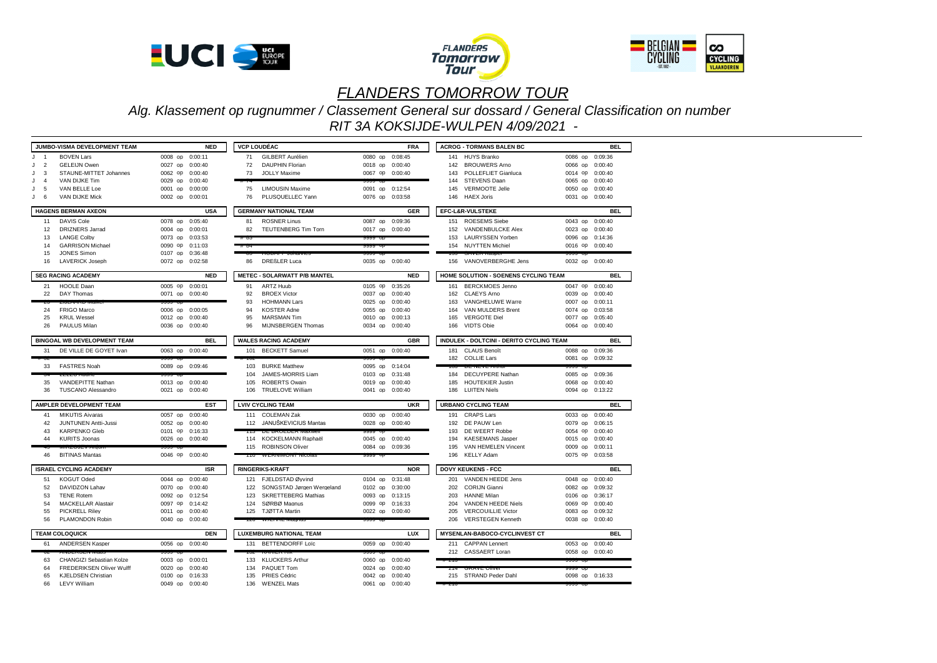





*Alg. Klassement op rugnummer / Classement General sur dossard / General Classification on number RIT 3A KOKSIJDE-WULPEN 4/09/2021 -* 

|                     | <b>JUMBO-VISMA DEVELOPMENT TEAM</b>              |                                    | <b>NED</b> |            | <b>VCP LOUDÉAC</b>                  |                                    | <b>FRA</b> |       | <b>ACROG - TORMANS BALEN BC</b>              |                 | <b>BEL</b> |
|---------------------|--------------------------------------------------|------------------------------------|------------|------------|-------------------------------------|------------------------------------|------------|-------|----------------------------------------------|-----------------|------------|
| J<br>$\overline{1}$ | <b>BOVEN Lars</b>                                | 0008 op 0:00:11                    |            | 71         | GILBERT Aurélien                    | 0080 op 0:08:45                    |            |       | 141 HUYS Branko                              | 0086 op 0:09:36 |            |
| 2<br>J              | <b>GELEIJN Owen</b>                              | 0027 op                            | 0:00:40    | 72         | <b>DAUPHIN Florian</b>              | 0018 op 0:00:40                    |            |       | 142 BROUWERS Arno                            | 0066 op         | 0:00:40    |
| J<br>$\mathbf{3}$   | STAUNE-MITTET Johannes                           | 0062 op                            | 0:00:40    | 73         | <b>JOLLY Maxime</b>                 | 0067 op 0:00:40                    |            | 143   | POLLEFLIET Gianluca                          | 0014 op         | 0:00:40    |
| J<br>$\overline{4}$ | VAN DIJKE Tim                                    | 0029 op                            | 0:00:40    |            |                                     |                                    |            | 144   | STEVENS Daan                                 | 0065 op 0:00:40 |            |
| J<br>5              | VAN BELLE Loe                                    | 0001 op                            | 0:00:00    | 75         | <b>LIMOUSIN Maxime</b>              | 0091 op 0:12:54                    |            | 145   | VERMOOTE Jelle                               | 0050 op 0:00:40 |            |
| 6<br>J              | VAN DIJKE Mick                                   | 0002 op 0:00:01                    |            | 76         | PLUSQUELLEC Yann                    | 0076 op 0:03:58                    |            | 146   | <b>HAEX Joris</b>                            | 0031 op 0:00:40 |            |
|                     |                                                  |                                    |            |            |                                     |                                    |            |       |                                              |                 |            |
|                     | <b>HAGENS BERMAN AXEON</b>                       |                                    | <b>USA</b> |            | <b>GERMANY NATIONAL TEAM</b>        |                                    | <b>GER</b> |       | EFC-L&R-VULSTEKE                             |                 | <b>BEL</b> |
| 11                  | DAVIS Cole                                       | 0078 op 0:05:40                    |            | 81         | <b>ROSNER Linus</b>                 | 0087 op 0:09:36                    |            | 151   | <b>ROESEMS Siebe</b>                         | 0043 op 0:00:40 |            |
| 12                  | <b>DRIZNERS Jarrad</b>                           | 0004 op 0:00:01                    |            | 82         | <b>TEUTENBERG Tim Torn</b>          | 0017 op 0:00:40                    |            | 152   | VANDENBULCKE Alex                            | 0023 op 0:00:40 |            |
| 13                  | <b>LANGE Colby</b>                               | 0073 op 0:03:53                    |            |            |                                     | ລລລລ ດກ                            |            | 153   | <b>LAURYSSEN Yorben</b>                      | 0096 op 0:14:36 |            |
| 14                  | <b>GARRISON Michael</b>                          | 0090 op                            | 0:11:03    |            |                                     | ລວວວ UL                            |            |       | 154 NUYTTEN Michiel                          | 0016 op 0:00:40 |            |
| 15                  | <b>JONES Simon</b>                               | 0107 op                            | 0:36:48    |            | <b>INVESTIGATION CONTINUES.</b>     |                                    |            |       |                                              |                 |            |
| 16                  | <b>LAVERICK Joseph</b>                           | 0072 op 0:02:58                    |            | 86         | <b>DREßLER Luca</b>                 | 0035 op 0:00:40                    |            |       | 156 VANOVERBERGHE Jens                       | 0032 op 0:00:40 |            |
|                     | <b>SEG RACING ACADEMY</b>                        |                                    | <b>NED</b> |            | <b>METEC - SOLARWATT P/B MANTEL</b> |                                    | <b>NED</b> |       | HOME SOLUTION - SOENENS CYCLING TEAM         |                 | <b>BEL</b> |
| 21                  | <b>HOOLE Daan</b>                                | 0005 op 0:00:01                    |            | 91         | ARTZ Huub                           | 0105 op 0:35:26                    |            |       | 161 BERCKMOES Jenno                          | 0047 op 0:00:40 |            |
| 22                  | DAY Thomas                                       | 0071 op 0:00:40                    |            | 92         | <b>BROEX Victor</b>                 | 0037 op                            | 0:00:40    | 162   | <b>CLAEYS Arno</b>                           | 0039 op         | 0:00:40    |
|                     |                                                  |                                    |            | 93         | <b>HOHMANN Lars</b>                 | 0025 op 0:00:40                    |            | 163   | VANGHELUWE Warre                             | 0007 op         | 0:00:11    |
| 24                  | <b>FRIGO Marco</b>                               | 0006 op 0:00:05                    |            | 94         | <b>KOSTER Adne</b>                  | 0055 op 0:00:40                    |            | 164   | VAN MULDERS Brent                            | 0074 op 0:03:58 |            |
| 25                  | <b>KRUL Wessel</b>                               | 0012 op 0:00:40                    |            | 95         | <b>MARSMAN Tim</b>                  | 0010 op 0:00:13                    |            | 165   | <b>VERGOTE Diel</b>                          | 0077 op 0:05:40 |            |
| 26                  | PAULUS Milan                                     | 0036 op 0:00:40                    |            | 96         | MIJNSBERGEN Thomas                  | 0034 op 0:00:40                    |            |       | 166 VIDTS Obie                               | 0064 op 0:00:40 |            |
|                     |                                                  |                                    |            |            |                                     |                                    |            |       |                                              |                 |            |
|                     | <b>BINGOAL WB DEVELOPMENT TEAM</b>               |                                    | <b>BEL</b> |            | <b>WALES RACING ACADEMY</b>         |                                    | <b>GBR</b> |       | INDULEK - DOLTCINI - DERITO CYCLING TEAM     |                 | <b>BEL</b> |
| 31                  | DE VILLE DE GOYET Ivan                           | 0063 op 0:00:40                    |            | 101        | <b>BECKETT Samuel</b>               | 0051 op 0:00:40                    |            |       | 181 CLAUS Benoît                             | 0088 op 0:09:36 |            |
|                     |                                                  | aasta vuo                          |            |            |                                     |                                    |            |       | 182 COLLIE Lars                              | 0081 op 0:09:32 |            |
| 33                  | <b>FASTRES Noah</b>                              | 0089 op 0:09:46                    |            | 103        | <b>BURKE Matthew</b>                | 0095 op 0:14:04                    |            |       | $P - 19 - 2 - 210$                           |                 |            |
|                     |                                                  |                                    |            | 104        | JAMES-MORRIS Liam                   | 0103 op 0:31:48                    |            |       | 184 DECUYPERE Nathan                         | 0085 op 0:09:36 |            |
| 35<br>36            | VANDEPITTE Nathan<br><b>TUSCANO Alessandro</b>   | 0013 op 0:00:40<br>0021 op 0:00:40 |            | 105<br>106 | <b>ROBERTS Owain</b>                | 0019 op 0:00:40<br>0041 op 0:00:40 |            | 185   | <b>HOUTEKIER Justin</b>                      | 0068 op         | 0:00:40    |
|                     |                                                  |                                    |            |            | <b>TRUELOVE William</b>             |                                    |            |       | 186 LUITEN Niels                             | 0094 op 0:13:22 |            |
|                     | AMPLER DEVELOPMENT TEAM                          |                                    | <b>EST</b> |            | <b>LVIV CYCLING TEAM</b>            |                                    | <b>UKR</b> |       | <b>URBANO CYCLING TEAM</b>                   |                 | <b>BEL</b> |
| 41                  | <b>MIKUTIS Aivaras</b>                           | 0057 op                            | 0:00:40    |            | 111 COLEMAN Zak                     | 0030 op 0:00:40                    |            |       | 191 CRAPS Lars                               | 0033 op         | 0:00:40    |
| 42                  | JUNTUNEN Antti-Jussi                             | 0052 op 0:00:40                    |            |            | 112 JANUŠKEVICIUS Mantas            | 0028 op 0:00:40                    |            |       | 192 DE PAUW Len                              | 0079 op 0:06:15 |            |
| 43                  | <b>KARPENKO Gleb</b>                             | 0101 op 0:16:33                    |            |            | <b>DE DIVOLDEN WIGAY</b>            |                                    |            | 193   | DE WEERT Robbe                               | 0054 op         | 0:00:40    |
| 44                  | <b>KURITS Joonas</b>                             | 0026 op 0:00:40                    |            |            | 114 KOCKELMANN Raphaël              | 0045 op 0:00:40                    |            | 194   | <b>KAESEMANS Jasper</b>                      | 0015 op 0:00:40 |            |
|                     |                                                  |                                    |            |            | 115 ROBINSON Oliver                 | 0084 op 0:09:36                    |            | 195   | VAN HEMELEN Vincent                          | 0009 op 0:00:11 |            |
| 46                  | <b>BITINAS Mantas</b>                            | 0046 op 0:00:40                    |            |            | <b>ITO WEINNIMONT NICORS</b>        | ສສສສ ບບ                            |            | 196   | <b>KELLY Adam</b>                            | 0075 op 0:03:58 |            |
|                     | <b>ISRAEL CYCLING ACADEMY</b>                    |                                    | <b>ISR</b> |            | <b>RINGERIKS-KRAFT</b>              |                                    | <b>NOR</b> |       | <b>DOVY KEUKENS - FCC</b>                    |                 | <b>BEL</b> |
| 51                  | KOGUT Oded                                       | 0044 op 0:00:40                    |            |            | 121 FJELDSTAD Øvvind                | 0104 op 0:31:48                    |            |       | 201 VANDEN HEEDE Jens                        | 0048 op 0:00:40 |            |
| 52                  | DAVIDZON Lahav                                   | 0070 op 0:00:40                    |            | 122        | SONGSTAD Jørgen Wergeland           | 0102 op 0:30:00                    |            |       | 202 CORIJN Gianni                            | 0082 op         | 0:09:32    |
| 53                  | <b>TENE Rotem</b>                                | 0092 op 0:12:54                    |            | 123        | <b>SKRETTEBERG Mathias</b>          | 0093 op 0:13:15                    |            | 203   | <b>HANNE Milan</b>                           | 0106 op 0:36:17 |            |
| 54                  | <b>MACKELLAR Alastair</b>                        | 0097 op 0:14:42                    |            | 124        | SØRBØ Magnus                        | 0099 op 0:16:33                    |            | 204   | <b>VANDEN HEEDE Niels</b>                    | 0069 op 0:00:40 |            |
| 55                  | <b>PICKRELL Rilev</b>                            | 0011 op 0:00:40                    |            | 125        | TJØTTA Martin                       | 0022 op 0:00:40                    |            | 205   | <b>VERCOUILLIE Victor</b>                    | 0083 op         | 0:09:32    |
| 56                  | PLAMONDON Robin                                  | 0040 op 0:00:40                    |            |            | WALLINE IWAGHUS                     | າວວວ ບບ                            |            | 206   | <b>VERSTEGEN Kenneth</b>                     | 0038 op 0:00:40 |            |
|                     |                                                  |                                    |            |            |                                     |                                    |            |       |                                              |                 |            |
|                     | <b>TEAM COLOQUICK</b>                            |                                    | <b>DEN</b> |            | <b>LUXEMBURG NATIONAL TEAM</b>      |                                    | <b>LUX</b> |       | MYSENLAN-BABOCO-CYCLINVEST CT                |                 | <b>BEL</b> |
| 61                  | <b>ANDERSEN Kasper</b>                           | 0056 op 0:00:40                    |            |            | 131 BETTENDORFF Loïc                | 0059 op                            | 0:00:40    |       | 211 CAPPAN Lennert                           | 0053 op 0:00:40 |            |
| ΟZ                  | ANUENOEN Maus                                    |                                    |            |            | <b>NANIEN NIN</b>                   |                                    |            |       | 212 CASSAERT Loran                           | 0058 op 0:00:40 |            |
| 63                  | <b>CHANGIZI Sebastian Kolze</b>                  | 0003 op 0:00:01                    |            | 133        | <b>KLUCKERS Arthur</b>              | 0060 op 0:00:40                    |            | # 213 |                                              | ลลลล oh         |            |
| 64<br>65            | <b>FREDERIKSEN Oliver Wulff</b>                  | 0020 op                            | 0:00:40    | 134<br>135 | PAQUET Tom                          | 0024 op<br>0042 op 0:00:40         | 0:00:40    |       | <b>UIVAVE UIIVU</b><br>215 STRAND Peder Dahl |                 |            |
| 66                  | <b>KJELDSEN Christian</b><br><b>LEVY William</b> | 0100 op 0:16:33<br>0049 op 0:00:40 |            | 136        | PRIES Cédric<br><b>WENZEL Mats</b>  | 0061 op 0:00:40                    |            |       |                                              | 0098 op 0:16:33 |            |
|                     |                                                  |                                    |            |            |                                     |                                    |            |       |                                              |                 |            |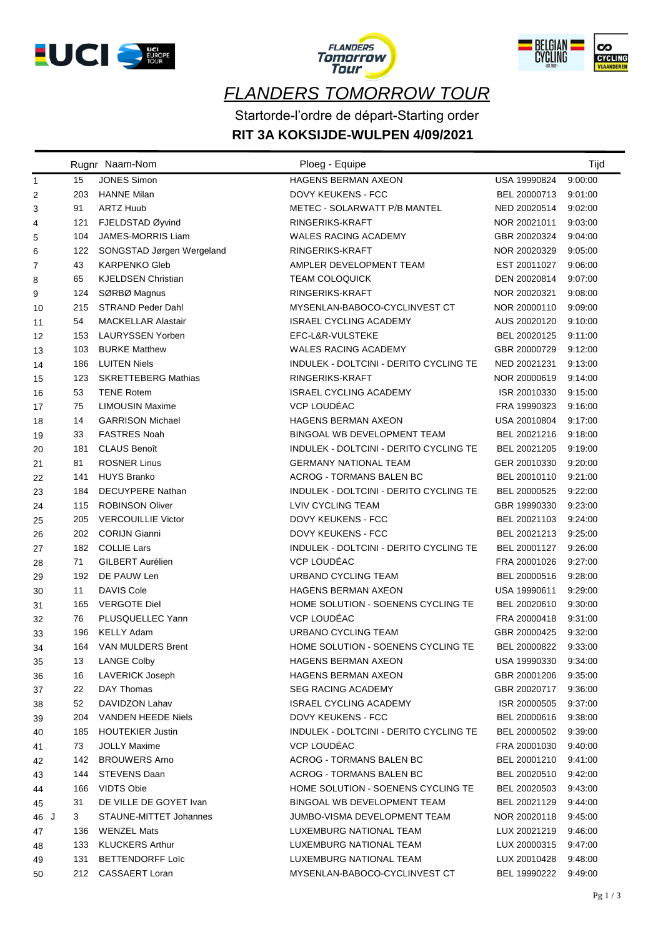





Startorde-l'ordre de départ-Starting order

## **RIT 3A KOKSIJDE-WULPEN 4/09/2021**

|                |     | Rugnr Naam-Nom             | Ploeg - Equipe                         |              | Tijd    |
|----------------|-----|----------------------------|----------------------------------------|--------------|---------|
| $\mathbf{1}$   | 15  | <b>JONES Simon</b>         | <b>HAGENS BERMAN AXEON</b>             | USA 19990824 | 9:00:00 |
| $\overline{c}$ | 203 | <b>HANNE Milan</b>         | <b>DOVY KEUKENS - FCC</b>              | BEL 20000713 | 9:01:00 |
| 3              | 91  | <b>ARTZ Huub</b>           | METEC - SOLARWATT P/B MANTEL           | NED 20020514 | 9:02:00 |
| 4              | 121 | FJELDSTAD Øyvind           | RINGERIKS-KRAFT                        | NOR 20021011 | 9:03:00 |
| 5              | 104 | <b>JAMES-MORRIS Liam</b>   | <b>WALES RACING ACADEMY</b>            | GBR 20020324 | 9:04:00 |
| 6              | 122 | SONGSTAD Jørgen Wergeland  | RINGERIKS-KRAFT                        | NOR 20020329 | 9:05:00 |
| 7              | 43  | <b>KARPENKO Gleb</b>       | AMPLER DEVELOPMENT TEAM                | EST 20011027 | 9:06:00 |
| 8              | 65  | <b>KJELDSEN Christian</b>  | <b>TEAM COLOQUICK</b>                  | DEN 20020814 | 9:07:00 |
| 9              | 124 | SØRBØ Magnus               | RINGERIKS-KRAFT                        | NOR 20020321 | 9:08:00 |
| 10             | 215 | <b>STRAND Peder Dahl</b>   | MYSENLAN-BABOCO-CYCLINVEST CT          | NOR 20000110 | 9:09:00 |
| 11             | 54  | <b>MACKELLAR Alastair</b>  | <b>ISRAEL CYCLING ACADEMY</b>          | AUS 20020120 | 9:10:00 |
| 12             | 153 | LAURYSSEN Yorben           | EFC-L&R-VULSTEKE                       | BEL 20020125 | 9:11:00 |
| 13             | 103 | <b>BURKE Matthew</b>       | <b>WALES RACING ACADEMY</b>            | GBR 20000729 | 9:12:00 |
| 14             | 186 | <b>LUITEN Niels</b>        | INDULEK - DOLTCINI - DERITO CYCLING TE | NED 20021231 | 9:13:00 |
| 15             | 123 | <b>SKRETTEBERG Mathias</b> | RINGERIKS-KRAFT                        | NOR 20000619 | 9:14:00 |
| 16             | 53  | <b>TENE Rotem</b>          | <b>ISRAEL CYCLING ACADEMY</b>          | ISR 20010330 | 9:15:00 |
| 17             | 75  | <b>LIMOUSIN Maxime</b>     | VCP LOUDÉAC                            | FRA 19990323 | 9:16:00 |
| 18             | 14  | <b>GARRISON Michael</b>    | <b>HAGENS BERMAN AXEON</b>             | USA 20010804 | 9:17:00 |
| 19             | 33  | <b>FASTRES Noah</b>        | BINGOAL WB DEVELOPMENT TEAM            | BEL 20021216 | 9:18:00 |
| 20             | 181 | <b>CLAUS Benoît</b>        | INDULEK - DOLTCINI - DERITO CYCLING TE | BEL 20021205 | 9:19:00 |
| 21             | 81  | <b>ROSNER Linus</b>        | <b>GERMANY NATIONAL TEAM</b>           | GER 20010330 | 9:20:00 |
| 22             | 141 | <b>HUYS Branko</b>         | ACROG - TORMANS BALEN BC               | BEL 20010110 | 9:21:00 |
| 23             | 184 | <b>DECUYPERE Nathan</b>    | INDULEK - DOLTCINI - DERITO CYCLING TE | BEL 20000525 | 9:22:00 |
| 24             | 115 | <b>ROBINSON Oliver</b>     | <b>LVIV CYCLING TEAM</b>               | GBR 19990330 | 9:23:00 |
| 25             | 205 | <b>VERCOUILLIE Victor</b>  | DOVY KEUKENS - FCC                     | BEL 20021103 | 9:24:00 |
| 26             | 202 | <b>CORIJN Gianni</b>       | <b>DOVY KEUKENS - FCC</b>              | BEL 20021213 | 9:25:00 |
| 27             | 182 | <b>COLLIE Lars</b>         | INDULEK - DOLTCINI - DERITO CYCLING TE | BEL 20001127 | 9:26:00 |
| 28             | 71  | GILBERT Aurélien           | VCP LOUDÉAC                            | FRA 20001026 | 9:27:00 |
| 29             | 192 | DE PAUW Len                | URBANO CYCLING TEAM                    | BEL 20000516 | 9.28:00 |
| 30             | 11  | <b>DAVIS Cole</b>          | <b>HAGENS BERMAN AXEON</b>             | USA 19990611 | 9:29:00 |
| 31             | 165 | <b>VERGOTE Diel</b>        | HOME SOLUTION - SOENENS CYCLING TE     | BEL 20020610 | 9:30:00 |
| 32             | 76  | PLUSQUELLEC Yann           | VCP LOUDÉAC                            | FRA 20000418 | 9:31:00 |
| 33             | 196 | <b>KELLY Adam</b>          | URBANO CYCLING TEAM                    | GBR 20000425 | 9:32:00 |
| 34             | 164 | <b>VAN MULDERS Brent</b>   | HOME SOLUTION - SOENENS CYCLING TE     | BEL 20000822 | 9:33:00 |
| 35             | 13  | <b>LANGE Colby</b>         | HAGENS BERMAN AXEON                    | USA 19990330 | 9:34:00 |
| 36             | 16  | <b>LAVERICK Joseph</b>     | <b>HAGENS BERMAN AXEON</b>             | GBR 20001206 | 9:35:00 |
| 37             | 22  | DAY Thomas                 | <b>SEG RACING ACADEMY</b>              | GBR 20020717 | 9:36:00 |
| 38             | 52  | DAVIDZON Lahav             | <b>ISRAEL CYCLING ACADEMY</b>          | ISR 20000505 | 9:37:00 |
| 39             | 204 | VANDEN HEEDE Niels         | DOVY KEUKENS - FCC                     | BEL 20000616 | 9:38:00 |
| 40             | 185 | <b>HOUTEKIER Justin</b>    | INDULEK - DOLTCINI - DERITO CYCLING TE | BEL 20000502 | 9:39:00 |
| 41             | 73  | <b>JOLLY Maxime</b>        | VCP LOUDÉAC                            | FRA 20001030 | 9:40:00 |
| 42             | 142 | <b>BROUWERS Arno</b>       | ACROG - TORMANS BALEN BC               | BEL 20001210 | 9:41:00 |
| 43             | 144 | <b>STEVENS Daan</b>        | ACROG - TORMANS BALEN BC               | BEL 20020510 | 9:42:00 |
| 44             | 166 | <b>VIDTS Obie</b>          | HOME SOLUTION - SOENENS CYCLING TE     | BEL 20020503 | 9:43:00 |
| 45             | 31  | DE VILLE DE GOYET Ivan     | BINGOAL WB DEVELOPMENT TEAM            | BEL 20021129 | 9:44:00 |
| 46 J           | 3   | STAUNE-MITTET Johannes     | JUMBO-VISMA DEVELOPMENT TEAM           | NOR 20020118 | 9:45:00 |
| 47             | 136 | <b>WENZEL Mats</b>         | LUXEMBURG NATIONAL TEAM                | LUX 20021219 | 9:46:00 |
| 48             | 133 | <b>KLUCKERS Arthur</b>     | LUXEMBURG NATIONAL TEAM                | LUX 20000315 | 9:47:00 |
| 49             | 131 | <b>BETTENDORFF Loïc</b>    | LUXEMBURG NATIONAL TEAM                | LUX 20010428 | 9:48:00 |
| 50             | 212 | CASSAERT Loran             | MYSENLAN-BABOCO-CYCLINVEST CT          | BEL 19990222 | 9:49:00 |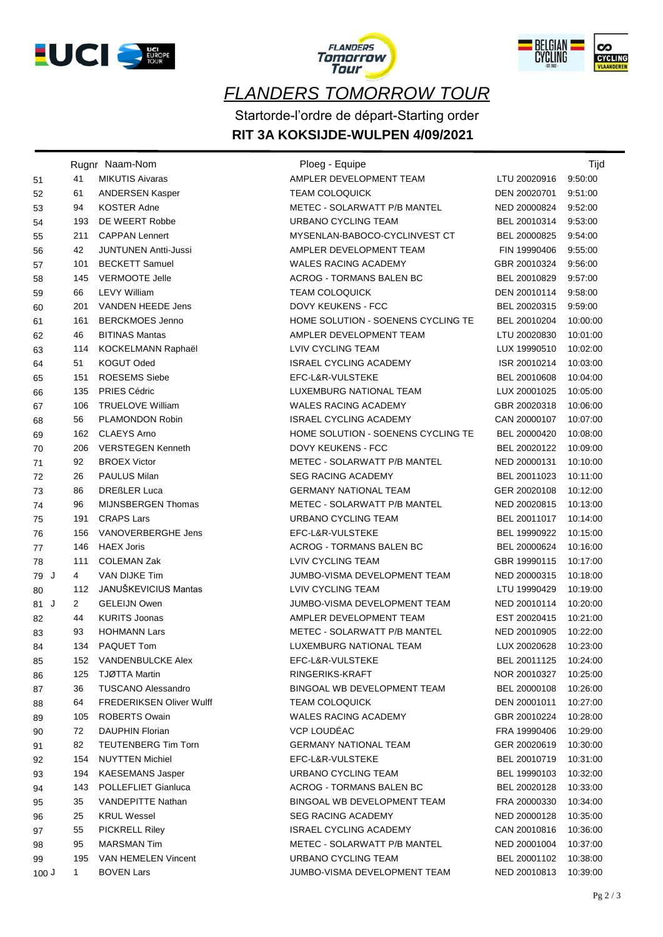





Startorde-l'ordre de départ-Starting order

## **RIT 3A KOKSIJDE-WULPEN 4/09/2021**

|      |                | Rugnr Naam-Nom                  | Ploeg - Equipe                     |              | Tijd     |
|------|----------------|---------------------------------|------------------------------------|--------------|----------|
| 51   | 41             | <b>MIKUTIS Aivaras</b>          | AMPLER DEVELOPMENT TEAM            | LTU 20020916 | 9.50.00  |
| 52   | 61             | <b>ANDERSEN Kasper</b>          | <b>TEAM COLOQUICK</b>              | DEN 20020701 | 9:51:00  |
| 53   | 94             | <b>KOSTER Adne</b>              | METEC - SOLARWATT P/B MANTEL       | NED 20000824 | 9.52.00  |
| 54   | 193            | DE WEERT Robbe                  | <b>URBANO CYCLING TEAM</b>         | BEL 20010314 | 9:53:00  |
| 55   | 211            | <b>CAPPAN Lennert</b>           | MYSENLAN-BABOCO-CYCLINVEST CT      | BEL 20000825 | 9:54:00  |
| 56   | 42             | <b>JUNTUNEN Antti-Jussi</b>     | AMPLER DEVELOPMENT TEAM            | FIN 19990406 | 9:55:00  |
| 57   | 101            | <b>BECKETT Samuel</b>           | <b>WALES RACING ACADEMY</b>        | GBR 20010324 | 9:56:00  |
| 58   | 145            | <b>VERMOOTE Jelle</b>           | <b>ACROG - TORMANS BALEN BC</b>    | BEL 20010829 | 9:57:00  |
| 59   | 66             | <b>LEVY William</b>             | <b>TEAM COLOQUICK</b>              | DEN 20010114 | 9:58:00  |
| 60   | 201            | VANDEN HEEDE Jens               | DOVY KEUKENS - FCC                 | BEL 20020315 | 9.59.00  |
| 61   | 161            | <b>BERCKMOES Jenno</b>          | HOME SOLUTION - SOENENS CYCLING TE | BEL 20010204 | 10:00:00 |
| 62   | 46             | <b>BITINAS Mantas</b>           | AMPLER DEVELOPMENT TEAM            | LTU 20020830 | 10:01:00 |
| 63   | 114            | KOCKELMANN Raphaël              | LVIV CYCLING TEAM                  | LUX 19990510 | 10:02:00 |
| 64   | 51             | <b>KOGUT Oded</b>               | ISRAEL CYCLING ACADEMY             | ISR 20010214 | 10:03:00 |
| 65   | 151            | <b>ROESEMS Siebe</b>            | EFC-L&R-VULSTEKE                   | BEL 20010608 | 10:04:00 |
| 66   | 135            | <b>PRIES Cédric</b>             | LUXEMBURG NATIONAL TEAM            | LUX 20001025 | 10:05:00 |
| 67   | 106            | <b>TRUELOVE William</b>         | <b>WALES RACING ACADEMY</b>        | GBR 20020318 | 10:06:00 |
| 68   | 56             | PLAMONDON Robin                 | <b>ISRAEL CYCLING ACADEMY</b>      | CAN 20000107 | 10:07:00 |
| 69   | 162            | <b>CLAEYS Arno</b>              | HOME SOLUTION - SOENENS CYCLING TE | BEL 20000420 | 10:08:00 |
| 70   | 206            | <b>VERSTEGEN Kenneth</b>        | DOVY KEUKENS - FCC                 | BEL 20020122 | 10:09:00 |
| 71   | 92             | <b>BROEX Victor</b>             | METEC - SOLARWATT P/B MANTEL       | NED 20000131 | 10:10:00 |
| 72   | 26             | <b>PAULUS Milan</b>             | <b>SEG RACING ACADEMY</b>          | BEL 20011023 | 10:11:00 |
| 73   | 86             | <b>DREßLER Luca</b>             | <b>GERMANY NATIONAL TEAM</b>       | GER 20020108 | 10:12:00 |
| 74   | 96             | MIJNSBERGEN Thomas              | METEC - SOLARWATT P/B MANTEL       | NED 20020815 | 10:13:00 |
| 75   | 191            | <b>CRAPS Lars</b>               | URBANO CYCLING TEAM                | BEL 20011017 | 10:14:00 |
| 76   | 156            | VANOVERBERGHE Jens              | EFC-L&R-VULSTEKE                   | BEL 19990922 | 10:15:00 |
| 77   | 146            | <b>HAEX Joris</b>               | ACROG - TORMANS BALEN BC           | BEL 20000624 | 10:16:00 |
| 78   | 111            | <b>COLEMAN Zak</b>              | LVIV CYCLING TEAM                  | GBR 19990115 | 10:17:00 |
| 79 J | 4              | VAN DIJKE Tim                   | JUMBO-VISMA DEVELOPMENT TEAM       | NED 20000315 | 10:18:00 |
| 80   | 112            | JANUŠKEVICIUS Mantas            | LVIV CYCLING TEAM                  | LTU 19990429 | 10:19:00 |
| 81 J | $\overline{2}$ | <b>GELEIJN Owen</b>             | JUMBO-VISMA DEVELOPMENT TEAM       | NED 20010114 | 10:20:00 |
| 82   | 44             | <b>KURITS Joonas</b>            | AMPLER DEVELOPMENT TEAM            | EST 20020415 | 10:21:00 |
| 83   | 93             | <b>HOHMANN Lars</b>             | METEC - SOLARWATT P/B MANTEL       | NED 20010905 | 10:22:00 |
| 84   |                | 134 PAQUET Tom                  | LUXEMBURG NATIONAL TEAM            | LUX 20020628 | 10:23:00 |
| 85   | 152            | VANDENBULCKE Alex               | EFC-L&R-VULSTEKE                   | BEL 20011125 | 10:24:00 |
| 86   | 125            | TJØTTA Martin                   | RINGERIKS-KRAFT                    | NOR 20010327 | 10:25:00 |
| 87   | 36             | <b>TUSCANO Alessandro</b>       | BINGOAL WB DEVELOPMENT TEAM        | BEL 20000108 | 10:26:00 |
| 88   | 64             | <b>FREDERIKSEN Oliver Wulff</b> | <b>TEAM COLOQUICK</b>              | DEN 20001011 | 10:27:00 |
| 89   | 105            | <b>ROBERTS Owain</b>            | WALES RACING ACADEMY               | GBR 20010224 | 10:28:00 |
| 90   | 72             | <b>DAUPHIN Florian</b>          | VCP LOUDÉAC                        | FRA 19990406 | 10:29:00 |
| 91   | 82             | <b>TEUTENBERG Tim Torn</b>      | <b>GERMANY NATIONAL TEAM</b>       | GER 20020619 | 10:30:00 |
| 92   | 154            | <b>NUYTTEN Michiel</b>          | EFC-L&R-VULSTEKE                   | BEL 20010719 | 10:31:00 |
| 93   | 194            | <b>KAESEMANS Jasper</b>         | URBANO CYCLING TEAM                | BEL 19990103 | 10:32:00 |
| 94   | 143            | POLLEFLIET Gianluca             | <b>ACROG - TORMANS BALEN BC</b>    | BEL 20020128 | 10:33:00 |
| 95   | 35             | <b>VANDEPITTE Nathan</b>        | BINGOAL WB DEVELOPMENT TEAM        | FRA 20000330 | 10:34:00 |
| 96   | 25             | <b>KRUL Wessel</b>              | <b>SEG RACING ACADEMY</b>          | NED 20000128 | 10:35:00 |
| 97   | 55             | <b>PICKRELL Riley</b>           | <b>ISRAEL CYCLING ACADEMY</b>      | CAN 20010816 | 10:36:00 |
| 98   | 95             | <b>MARSMAN Tim</b>              | METEC - SOLARWATT P/B MANTEL       | NED 20001004 | 10:37:00 |
| 99   | 195            | VAN HEMELEN Vincent             | URBANO CYCLING TEAM                | BEL 20001102 | 10:38:00 |
| 100J | 1              | <b>BOVEN Lars</b>               | JUMBO-VISMA DEVELOPMENT TEAM       | NED 20010813 | 10:39:00 |